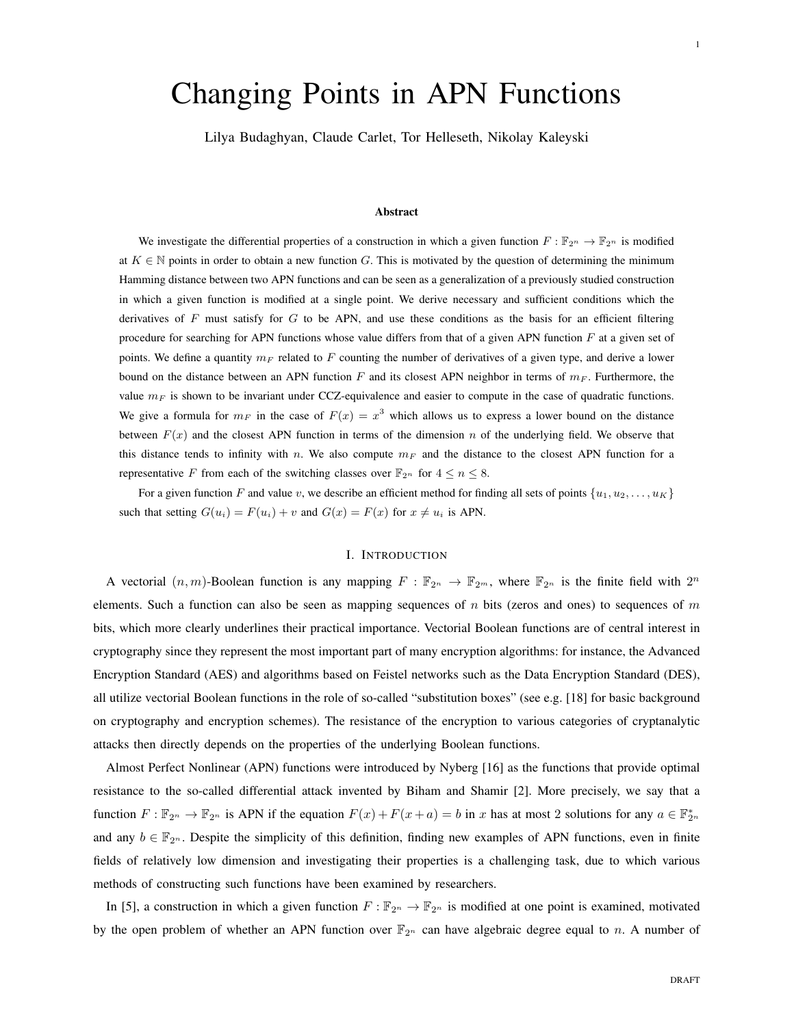# Changing Points in APN Functions

Lilya Budaghyan, Claude Carlet, Tor Helleseth, Nikolay Kaleyski

# Abstract

We investigate the differential properties of a construction in which a given function  $F : \mathbb{F}_{2^n} \to \mathbb{F}_{2^n}$  is modified at  $K \in \mathbb{N}$  points in order to obtain a new function G. This is motivated by the question of determining the minimum Hamming distance between two APN functions and can be seen as a generalization of a previously studied construction in which a given function is modified at a single point. We derive necessary and sufficient conditions which the derivatives of  $F$  must satisfy for  $G$  to be APN, and use these conditions as the basis for an efficient filtering procedure for searching for APN functions whose value differs from that of a given APN function  $F$  at a given set of points. We define a quantity  $m_F$  related to F counting the number of derivatives of a given type, and derive a lower bound on the distance between an APN function  $F$  and its closest APN neighbor in terms of  $m_F$ . Furthermore, the value  $m_F$  is shown to be invariant under CCZ-equivalence and easier to compute in the case of quadratic functions. We give a formula for  $m_F$  in the case of  $F(x) = x^3$  which allows us to express a lower bound on the distance between  $F(x)$  and the closest APN function in terms of the dimension n of the underlying field. We observe that this distance tends to infinity with n. We also compute  $m_F$  and the distance to the closest APN function for a representative F from each of the switching classes over  $\mathbb{F}_{2^n}$  for  $4 \le n \le 8$ .

For a given function F and value v, we describe an efficient method for finding all sets of points  $\{u_1, u_2, \ldots, u_K\}$ such that setting  $G(u_i) = F(u_i) + v$  and  $G(x) = F(x)$  for  $x \neq u_i$  is APN.

# I. INTRODUCTION

A vectorial  $(n, m)$ -Boolean function is any mapping  $F : \mathbb{F}_{2^n} \to \mathbb{F}_{2^m}$ , where  $\mathbb{F}_{2^n}$  is the finite field with  $2^n$ elements. Such a function can also be seen as mapping sequences of n bits (zeros and ones) to sequences of m bits, which more clearly underlines their practical importance. Vectorial Boolean functions are of central interest in cryptography since they represent the most important part of many encryption algorithms: for instance, the Advanced Encryption Standard (AES) and algorithms based on Feistel networks such as the Data Encryption Standard (DES), all utilize vectorial Boolean functions in the role of so-called "substitution boxes" (see e.g. [18] for basic background on cryptography and encryption schemes). The resistance of the encryption to various categories of cryptanalytic attacks then directly depends on the properties of the underlying Boolean functions.

Almost Perfect Nonlinear (APN) functions were introduced by Nyberg [16] as the functions that provide optimal resistance to the so-called differential attack invented by Biham and Shamir [2]. More precisely, we say that a function  $F: \mathbb{F}_{2^n} \to \mathbb{F}_{2^n}$  is APN if the equation  $F(x) + F(x + a) = b$  in x has at most 2 solutions for any  $a \in \mathbb{F}_{2^n}^*$ and any  $b \in \mathbb{F}_{2^n}$ . Despite the simplicity of this definition, finding new examples of APN functions, even in finite fields of relatively low dimension and investigating their properties is a challenging task, due to which various methods of constructing such functions have been examined by researchers.

In [5], a construction in which a given function  $F : \mathbb{F}_{2^n} \to \mathbb{F}_{2^n}$  is modified at one point is examined, motivated by the open problem of whether an APN function over  $\mathbb{F}_{2^n}$  can have algebraic degree equal to n. A number of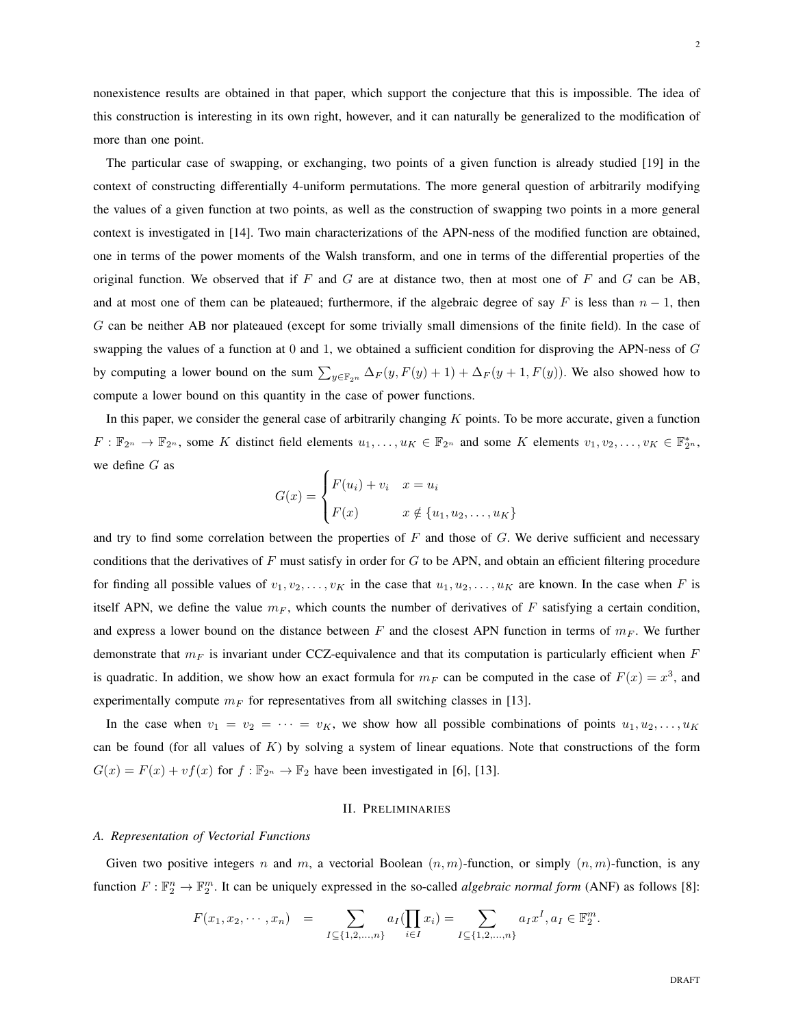nonexistence results are obtained in that paper, which support the conjecture that this is impossible. The idea of this construction is interesting in its own right, however, and it can naturally be generalized to the modification of more than one point.

The particular case of swapping, or exchanging, two points of a given function is already studied [19] in the context of constructing differentially 4-uniform permutations. The more general question of arbitrarily modifying the values of a given function at two points, as well as the construction of swapping two points in a more general context is investigated in [14]. Two main characterizations of the APN-ness of the modified function are obtained, one in terms of the power moments of the Walsh transform, and one in terms of the differential properties of the original function. We observed that if F and G are at distance two, then at most one of F and G can be AB, and at most one of them can be plateaued; furthermore, if the algebraic degree of say F is less than  $n - 1$ , then G can be neither AB nor plateaued (except for some trivially small dimensions of the finite field). In the case of swapping the values of a function at 0 and 1, we obtained a sufficient condition for disproving the APN-ness of G by computing a lower bound on the sum  $\sum_{y \in \mathbb{F}_{2^n}} \Delta_F(y, F(y) + 1) + \Delta_F(y + 1, F(y))$ . We also showed how to compute a lower bound on this quantity in the case of power functions.

In this paper, we consider the general case of arbitrarily changing  $K$  points. To be more accurate, given a function  $F: \mathbb{F}_{2^n} \to \mathbb{F}_{2^n}$ , some K distinct field elements  $u_1, \ldots, u_K \in \mathbb{F}_{2^n}$  and some K elements  $v_1, v_2, \ldots, v_K \in \mathbb{F}_{2^n}^*$ , we define G as

$$
G(x) = \begin{cases} F(u_i) + v_i & x = u_i \\ F(x) & x \notin \{u_1, u_2, \dots, u_K\} \end{cases}
$$

and try to find some correlation between the properties of  $F$  and those of  $G$ . We derive sufficient and necessary conditions that the derivatives of  $F$  must satisfy in order for  $G$  to be APN, and obtain an efficient filtering procedure for finding all possible values of  $v_1, v_2, \ldots, v_K$  in the case that  $u_1, u_2, \ldots, u_K$  are known. In the case when F is itself APN, we define the value  $m_F$ , which counts the number of derivatives of F satisfying a certain condition, and express a lower bound on the distance between F and the closest APN function in terms of  $m_F$ . We further demonstrate that  $m_F$  is invariant under CCZ-equivalence and that its computation is particularly efficient when  $F$ is quadratic. In addition, we show how an exact formula for  $m_F$  can be computed in the case of  $F(x) = x^3$ , and experimentally compute  $m_F$  for representatives from all switching classes in [13].

In the case when  $v_1 = v_2 = \cdots = v_K$ , we show how all possible combinations of points  $u_1, u_2, \ldots, u_K$ can be found (for all values of  $K$ ) by solving a system of linear equations. Note that constructions of the form  $G(x) = F(x) + vf(x)$  for  $f : \mathbb{F}_{2^n} \to \mathbb{F}_2$  have been investigated in [6], [13].

# II. PRELIMINARIES

#### *A. Representation of Vectorial Functions*

Given two positive integers n and m, a vectorial Boolean  $(n, m)$ -function, or simply  $(n, m)$ -function, is any function  $F: \mathbb{F}_2^n \to \mathbb{F}_2^m$ . It can be uniquely expressed in the so-called *algebraic normal form* (ANF) as follows [8]:

$$
F(x_1, x_2, \cdots, x_n) = \sum_{I \subseteq \{1, 2, ..., n\}} a_I (\prod_{i \in I} x_i) = \sum_{I \subseteq \{1, 2, ..., n\}} a_I x^I, a_I \in \mathbb{F}_2^m.
$$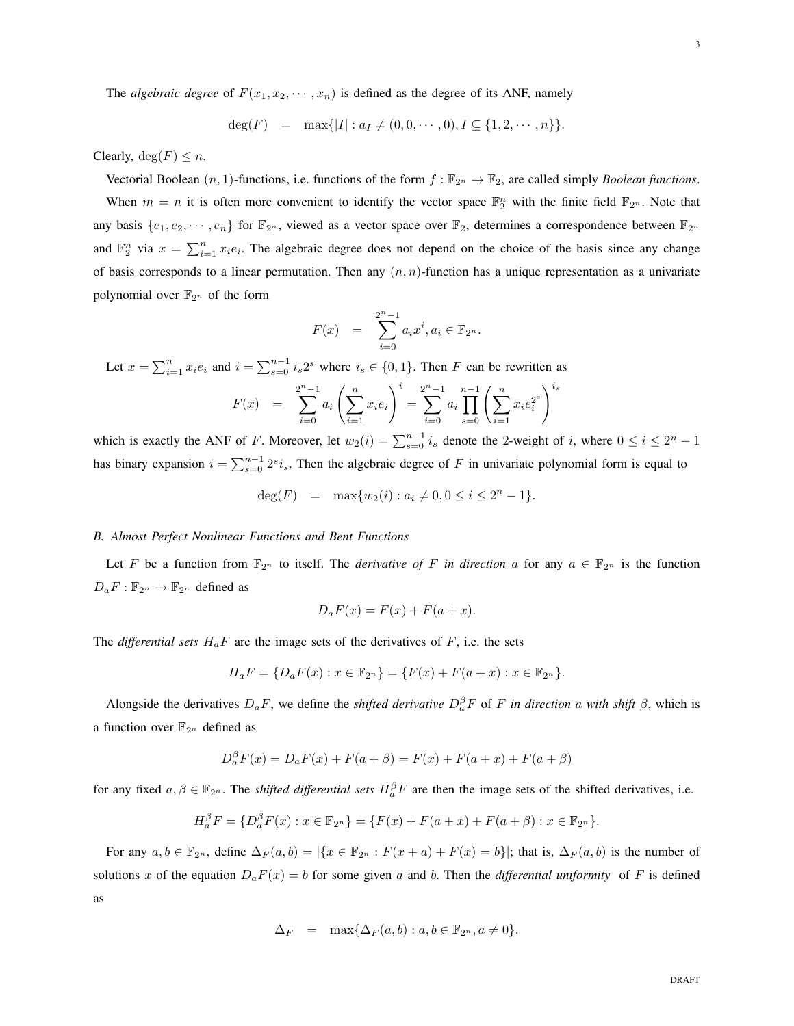$$
\deg(F) = \max\{|I| : a_I \neq (0, 0, \cdots, 0), I \subseteq \{1, 2, \cdots, n\}\}.
$$

Clearly,  $deg(F) \leq n$ .

Vectorial Boolean  $(n, 1)$ -functions, i.e. functions of the form  $f : \mathbb{F}_{2^n} \to \mathbb{F}_2$ , are called simply *Boolean functions*. When  $m = n$  it is often more convenient to identify the vector space  $\mathbb{F}_2^n$  with the finite field  $\mathbb{F}_{2^n}$ . Note that any basis  $\{e_1, e_2, \dots, e_n\}$  for  $\mathbb{F}_{2^n}$ , viewed as a vector space over  $\mathbb{F}_2$ , determines a correspondence between  $\mathbb{F}_{2^n}$ and  $\mathbb{F}_2^n$  via  $x = \sum_{i=1}^n x_i e_i$ . The algebraic degree does not depend on the choice of the basis since any change of basis corresponds to a linear permutation. Then any  $(n, n)$ -function has a unique representation as a univariate polynomial over  $\mathbb{F}_{2^n}$  of the form

$$
F(x) = \sum_{i=0}^{2^n - 1} a_i x^i, a_i \in \mathbb{F}_{2^n}.
$$

Let  $x = \sum_{i=1}^{n} x_i e_i$  and  $i = \sum_{s=0}^{n-1} i_s 2^s$  where  $i_s \in \{0, 1\}$ . Then F can be rewritten as

$$
F(x) = \sum_{i=0}^{2^{n}-1} a_{i} \left(\sum_{i=1}^{n} x_{i} e_{i}\right)^{i} = \sum_{i=0}^{2^{n}-1} a_{i} \prod_{s=0}^{n-1} \left(\sum_{i=1}^{n} x_{i} e_{i}^{2^{s}}\right)^{i_{s}}
$$

which is exactly the ANF of F. Moreover, let  $w_2(i) = \sum_{s=0}^{n-1} i_s$  denote the 2-weight of i, where  $0 \le i \le 2^n - 1$ has binary expansion  $i = \sum_{s=0}^{n-1} 2^{s} i_s$ . Then the algebraic degree of F in univariate polynomial form is equal to

$$
deg(F) = \max\{w_2(i) : a_i \neq 0, 0 \le i \le 2^n - 1\}.
$$

#### *B. Almost Perfect Nonlinear Functions and Bent Functions*

Let F be a function from  $\mathbb{F}_{2^n}$  to itself. The *derivative of* F *in direction* a for any  $a \in \mathbb{F}_{2^n}$  is the function  $D_aF : \mathbb{F}_{2^n} \to \mathbb{F}_{2^n}$  defined as

$$
D_a F(x) = F(x) + F(a + x).
$$

The *differential sets*  $H_aF$  are the image sets of the derivatives of F, i.e. the sets

$$
H_aF = \{D_aF(x) : x \in \mathbb{F}_{2^n}\} = \{F(x) + F(a+x) : x \in \mathbb{F}_{2^n}\}.
$$

Alongside the derivatives  $D_aF$ , we define the *shifted derivative*  $D_a^{\beta}F$  of F *in direction* a *with shift*  $\beta$ , which is a function over  $\mathbb{F}_{2^n}$  defined as

$$
D_a^{\beta}F(x) = D_aF(x) + F(a + \beta) = F(x) + F(a + x) + F(a + \beta)
$$

for any fixed  $a, \beta \in \mathbb{F}_{2^n}$ . The *shifted differential sets*  $H_a^{\beta}F$  are then the image sets of the shifted derivatives, i.e.

$$
H_a^{\beta} F = \{ D_a^{\beta} F(x) : x \in \mathbb{F}_{2^n} \} = \{ F(x) + F(a+x) + F(a+\beta) : x \in \mathbb{F}_{2^n} \}.
$$

For any  $a, b \in \mathbb{F}_{2^n}$ , define  $\Delta_F(a, b) = |\{x \in \mathbb{F}_{2^n} : F(x + a) + F(x) = b\}|$ ; that is,  $\Delta_F(a, b)$  is the number of solutions x of the equation  $D_aF(x) = b$  for some given a and b. Then the *differential uniformity* of F is defined as

$$
\Delta_F = \max\{\Delta_F(a, b) : a, b \in \mathbb{F}_{2^n}, a \neq 0\}.
$$

3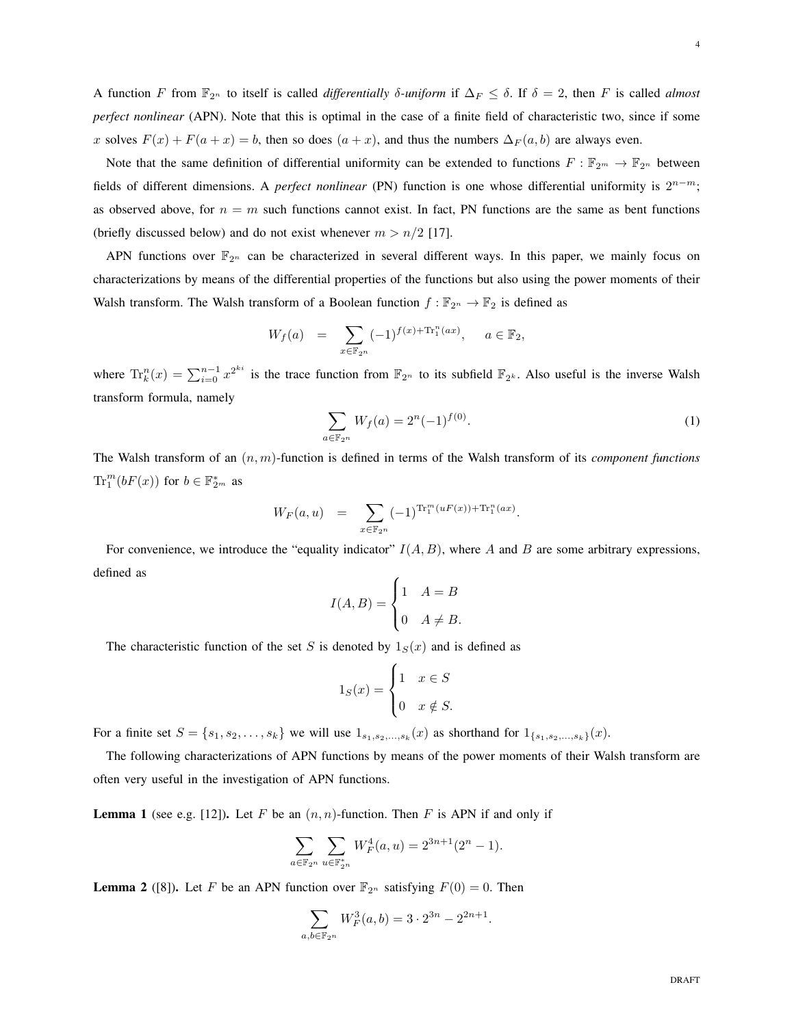Note that the same definition of differential uniformity can be extended to functions  $F : \mathbb{F}_{2^m} \to \mathbb{F}_{2^n}$  between fields of different dimensions. A *perfect nonlinear* (PN) function is one whose differential uniformity is 2<sup>n-m</sup>; as observed above, for  $n = m$  such functions cannot exist. In fact, PN functions are the same as bent functions (briefly discussed below) and do not exist whenever  $m > n/2$  [17].

APN functions over  $\mathbb{F}_{2^n}$  can be characterized in several different ways. In this paper, we mainly focus on characterizations by means of the differential properties of the functions but also using the power moments of their Walsh transform. The Walsh transform of a Boolean function  $f : \mathbb{F}_{2^n} \to \mathbb{F}_2$  is defined as

$$
W_f(a) = \sum_{x \in \mathbb{F}_{2^n}} (-1)^{f(x) + \text{Tr}_1^n(ax)}, \quad a \in \mathbb{F}_2,
$$

where  $\text{Tr}_k^n(x) = \sum_{i=0}^{n-1} x^{2^{ki}}$  is the trace function from  $\mathbb{F}_{2^n}$  to its subfield  $\mathbb{F}_{2^k}$ . Also useful is the inverse Walsh transform formula, namely

$$
\sum_{a \in \mathbb{F}_{2^n}} W_f(a) = 2^n (-1)^{f(0)}.
$$
 (1)

The Walsh transform of an (n, m)-function is defined in terms of the Walsh transform of its *component functions*  $\text{Tr}_{1}^{m}(bF(x))$  for  $b \in \mathbb{F}_{2^m}^{*}$  as

$$
W_F(a, u) = \sum_{x \in \mathbb{F}_{2^n}} (-1)^{\text{Tr}_1^m(uF(x)) + \text{Tr}_1^n(ax)}.
$$

For convenience, we introduce the "equality indicator"  $I(A, B)$ , where A and B are some arbitrary expressions, defined as

$$
I(A, B) = \begin{cases} 1 & A = B \\ 0 & A \neq B. \end{cases}
$$

The characteristic function of the set S is denoted by  $1_S(x)$  and is defined as

$$
1_S(x) = \begin{cases} 1 & x \in S \\ 0 & x \notin S. \end{cases}
$$

For a finite set  $S = \{s_1, s_2, \ldots, s_k\}$  we will use  $1_{s_1, s_2, \ldots, s_k}(x)$  as shorthand for  $1_{\{s_1, s_2, \ldots, s_k\}}(x)$ .

The following characterizations of APN functions by means of the power moments of their Walsh transform are often very useful in the investigation of APN functions.

**Lemma 1** (see e.g. [12]). Let F be an  $(n, n)$ -function. Then F is APN if and only if

$$
\sum_{a \in \mathbb{F}_{2^n}} \sum_{u \in \mathbb{F}_{2^n}^*} W_F^4(a, u) = 2^{3n+1} (2^n - 1).
$$

**Lemma 2** ([8]). Let F be an APN function over  $\mathbb{F}_{2^n}$  satisfying  $F(0) = 0$ . Then

$$
\sum_{a,b \in \mathbb{F}_{2^n}} W_F^3(a,b) = 3 \cdot 2^{3n} - 2^{2n+1}.
$$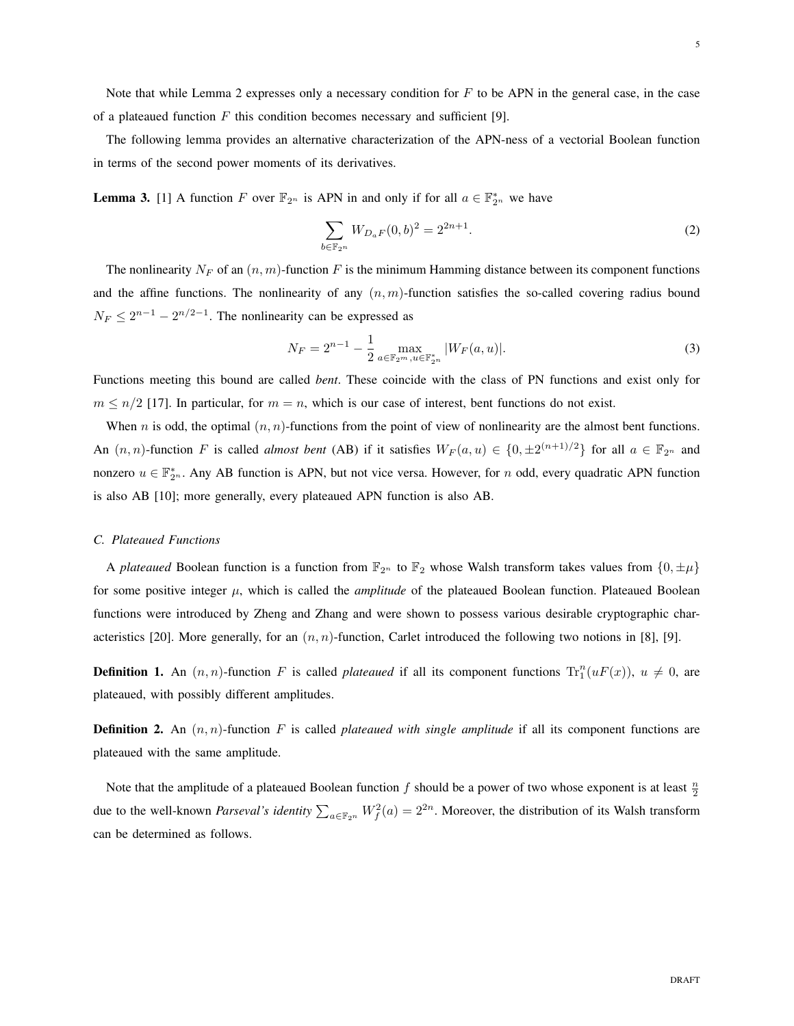Note that while Lemma 2 expresses only a necessary condition for  $F$  to be APN in the general case, in the case of a plateaued function  $F$  this condition becomes necessary and sufficient [9].

The following lemma provides an alternative characterization of the APN-ness of a vectorial Boolean function in terms of the second power moments of its derivatives.

**Lemma 3.** [1] A function F over  $\mathbb{F}_{2^n}$  is APN in and only if for all  $a \in \mathbb{F}_{2^n}^*$  we have

$$
\sum_{b \in \mathbb{F}_{2^n}} W_{D_a F}(0, b)^2 = 2^{2n+1}.
$$
 (2)

The nonlinearity  $N_F$  of an  $(n, m)$ -function F is the minimum Hamming distance between its component functions and the affine functions. The nonlinearity of any  $(n, m)$ -function satisfies the so-called covering radius bound  $N_F \leq 2^{n-1} - 2^{n/2-1}$ . The nonlinearity can be expressed as

$$
N_F = 2^{n-1} - \frac{1}{2} \max_{a \in \mathbb{F}_{2^m}^*, u \in \mathbb{F}_{2^n}^*} |W_F(a, u)|.
$$
 (3)

Functions meeting this bound are called *bent*. These coincide with the class of PN functions and exist only for  $m \leq n/2$  [17]. In particular, for  $m = n$ , which is our case of interest, bent functions do not exist.

When *n* is odd, the optimal  $(n, n)$ -functions from the point of view of nonlinearity are the almost bent functions. An  $(n, n)$ -function F is called *almost bent* (AB) if it satisfies  $W_F(a, u) \in \{0, \pm 2^{(n+1)/2}\}\)$  for all  $a \in \mathbb{F}_{2^n}$  and nonzero  $u \in \mathbb{F}_{2^n}^*$ . Any AB function is APN, but not vice versa. However, for n odd, every quadratic APN function is also AB [10]; more generally, every plateaued APN function is also AB.

# *C. Plateaued Functions*

A *plateaued* Boolean function is a function from  $\mathbb{F}_{2^n}$  to  $\mathbb{F}_2$  whose Walsh transform takes values from  $\{0, \pm \mu\}$ for some positive integer  $\mu$ , which is called the *amplitude* of the plateaued Boolean function. Plateaued Boolean functions were introduced by Zheng and Zhang and were shown to possess various desirable cryptographic characteristics [20]. More generally, for an  $(n, n)$ -function, Carlet introduced the following two notions in [8], [9].

**Definition 1.** An  $(n, n)$ -function F is called *plateaued* if all its component functions  $Tr_1^n(uF(x))$ ,  $u \neq 0$ , are plateaued, with possibly different amplitudes.

**Definition 2.** An  $(n, n)$ -function F is called *plateaued with single amplitude* if all its component functions are plateaued with the same amplitude.

Note that the amplitude of a plateaued Boolean function f should be a power of two whose exponent is at least  $\frac{n}{2}$ due to the well-known *Parseval's identity*  $\sum_{a \in \mathbb{F}_{2^n}} W_f^2(a) = 2^{2n}$ . Moreover, the distribution of its Walsh transform can be determined as follows.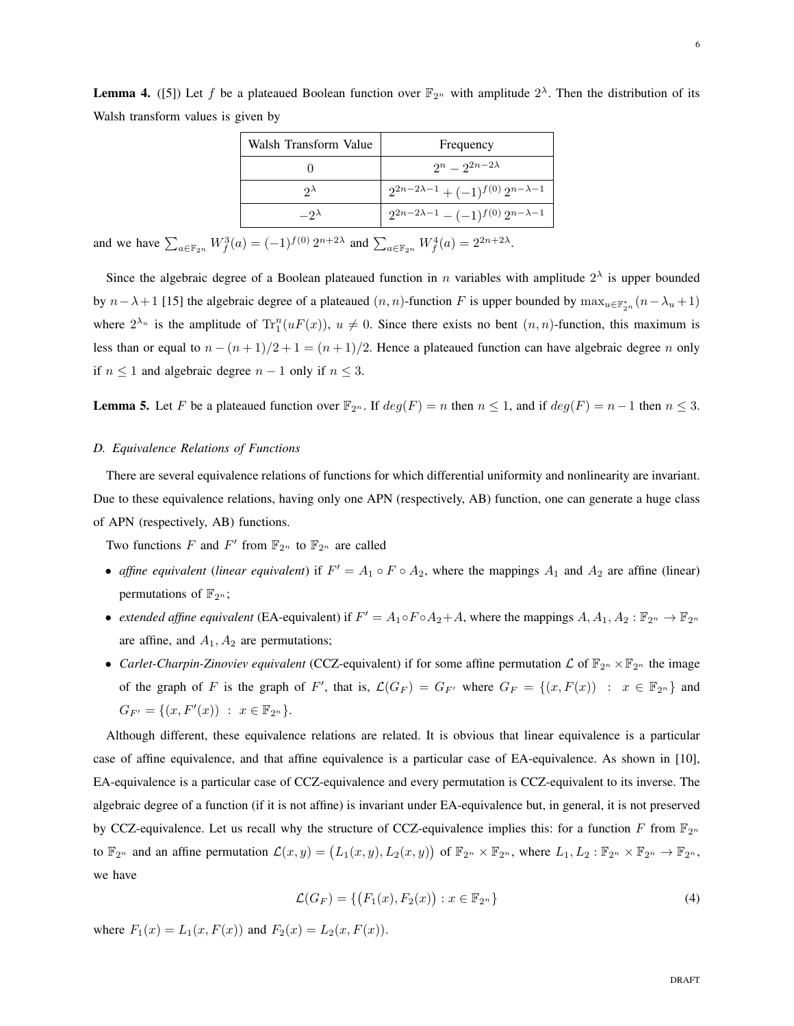**Lemma 4.** ([5]) Let f be a plateaued Boolean function over  $\mathbb{F}_{2^n}$  with amplitude  $2^{\lambda}$ . Then the distribution of its Walsh transform values is given by

| Walsh Transform Value   | Frequency                                      |
|-------------------------|------------------------------------------------|
|                         | $2^n - 2^{2n-2\lambda}$                        |
| $\mathcal{D}^{\lambda}$ | $2^{2n-2\lambda-1}+(-1)^{f(0)}2^{n-\lambda-1}$ |
| $-2\lambda$             | $2^{2n-2\lambda-1}-(-1)^{f(0)}2^{n-\lambda-1}$ |

and we have  $\sum_{a \in \mathbb{F}_{2^n}} W_f^3(a) = (-1)^{f(0)} 2^{n+2\lambda}$  and  $\sum_{a \in \mathbb{F}_{2^n}} W_f^4(a) = 2^{2n+2\lambda}$ .

Since the algebraic degree of a Boolean plateaued function in n variables with amplitude  $2^{\lambda}$  is upper bounded by  $n-\lambda+1$  [15] the algebraic degree of a plateaued  $(n, n)$ -function F is upper bounded by  $\max_{u \in \mathbb{F}_{2^n}^*} (n-\lambda_u+1)$ where  $2^{\lambda_u}$  is the amplitude of  $Tr_1^n(uF(x))$ ,  $u \neq 0$ . Since there exists no bent  $(n, n)$ -function, this maximum is less than or equal to  $n - (n + 1)/2 + 1 = (n + 1)/2$ . Hence a plateaued function can have algebraic degree n only if  $n \leq 1$  and algebraic degree  $n-1$  only if  $n \leq 3$ .

**Lemma 5.** Let F be a plateaued function over  $\mathbb{F}_{2^n}$ . If  $deg(F) = n$  then  $n \leq 1$ , and if  $deg(F) = n-1$  then  $n \leq 3$ .

# *D. Equivalence Relations of Functions*

There are several equivalence relations of functions for which differential uniformity and nonlinearity are invariant. Due to these equivalence relations, having only one APN (respectively, AB) function, one can generate a huge class of APN (respectively, AB) functions.

Two functions F and F' from  $\mathbb{F}_{2^n}$  to  $\mathbb{F}_{2^n}$  are called

- *affine equivalent* (*linear equivalent*) if  $F' = A_1 \circ F \circ A_2$ , where the mappings  $A_1$  and  $A_2$  are affine (linear) permutations of  $\mathbb{F}_{2^n}$ ;
- *extended affine equivalent* (EA-equivalent) if  $F' = A_1 \circ F \circ A_2 + A$ , where the mappings  $A, A_1, A_2 : \mathbb{F}_{2^n} \to \mathbb{F}_{2^n}$ are affine, and  $A_1$ ,  $A_2$  are permutations;
- *Carlet-Charpin-Zinoviev equivalent* (CCZ-equivalent) if for some affine permutation  $\mathcal L$  of  $\mathbb F_{2^n}\times\mathbb F_{2^n}$  the image of the graph of F is the graph of F', that is,  $\mathcal{L}(G_F) = G_{F'}$  where  $G_F = \{(x, F(x)) : x \in \mathbb{F}_{2^n}\}\$ and  $G_{F'} = \{(x, F'(x)) : x \in \mathbb{F}_{2^n}\}.$

Although different, these equivalence relations are related. It is obvious that linear equivalence is a particular case of affine equivalence, and that affine equivalence is a particular case of EA-equivalence. As shown in [10], EA-equivalence is a particular case of CCZ-equivalence and every permutation is CCZ-equivalent to its inverse. The algebraic degree of a function (if it is not affine) is invariant under EA-equivalence but, in general, it is not preserved by CCZ-equivalence. Let us recall why the structure of CCZ-equivalence implies this: for a function F from  $\mathbb{F}_{2^n}$ to  $\mathbb{F}_{2^n}$  and an affine permutation  $\mathcal{L}(x, y) = (L_1(x, y), L_2(x, y))$  of  $\mathbb{F}_{2^n} \times \mathbb{F}_{2^n}$ , where  $L_1, L_2 : \mathbb{F}_{2^n} \times \mathbb{F}_{2^n} \to \mathbb{F}_{2^n}$ , we have

$$
\mathcal{L}(G_F) = \{ (F_1(x), F_2(x)) : x \in \mathbb{F}_{2^n} \}
$$
\n(4)

where  $F_1(x) = L_1(x, F(x))$  and  $F_2(x) = L_2(x, F(x))$ .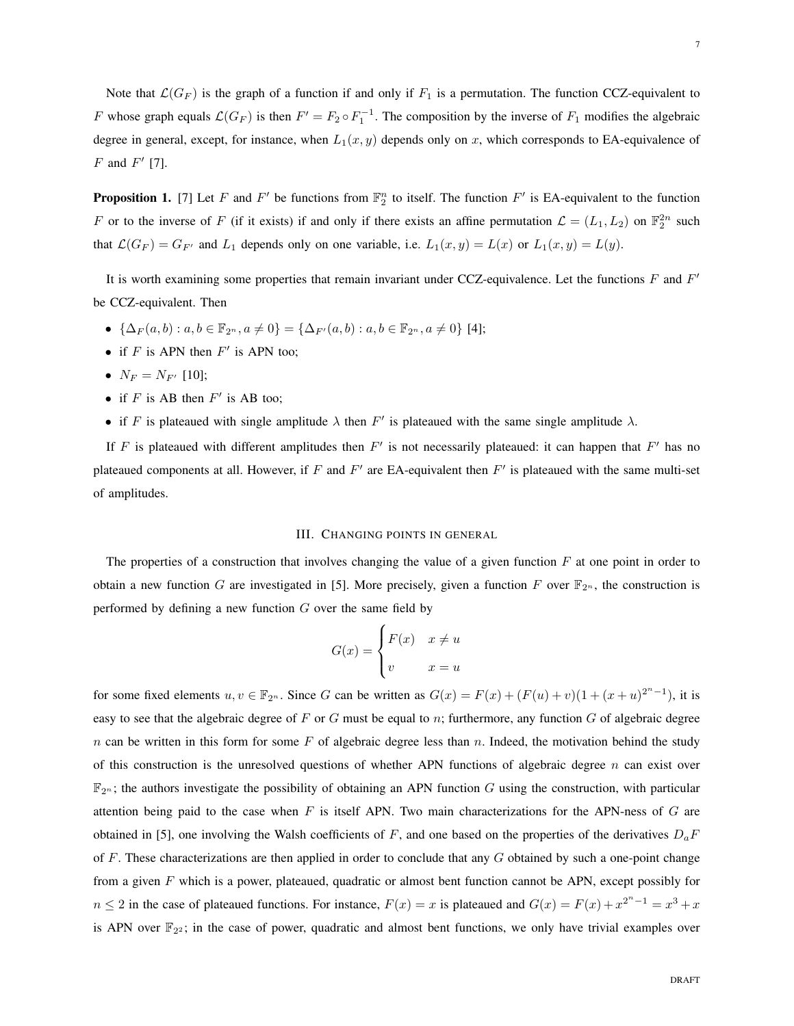Note that  $\mathcal{L}(G_F)$  is the graph of a function if and only if  $F_1$  is a permutation. The function CCZ-equivalent to F whose graph equals  $\mathcal{L}(G_F)$  is then  $F' = F_2 \circ F_1^{-1}$ . The composition by the inverse of  $F_1$  modifies the algebraic degree in general, except, for instance, when  $L_1(x, y)$  depends only on x, which corresponds to EA-equivalence of  $F$  and  $F'$  [7].

**Proposition 1.** [7] Let F and F' be functions from  $\mathbb{F}_2^n$  to itself. The function F' is EA-equivalent to the function F or to the inverse of F (if it exists) if and only if there exists an affine permutation  $\mathcal{L} = (L_1, L_2)$  on  $\mathbb{F}_2^{2n}$  such that  $\mathcal{L}(G_F) = G_{F'}$  and  $L_1$  depends only on one variable, i.e.  $L_1(x, y) = L(x)$  or  $L_1(x, y) = L(y)$ .

It is worth examining some properties that remain invariant under CCZ-equivalence. Let the functions  $F$  and  $F'$ be CCZ-equivalent. Then

- $\{\Delta_F(a, b): a, b \in \mathbb{F}_{2^n}, a \neq 0\} = \{\Delta_{F'}(a, b): a, b \in \mathbb{F}_{2^n}, a \neq 0\}$  [4];
- if  $F$  is APN then  $F'$  is APN too;
- $N_F = N_{F'}$  [10];
- if  $F$  is AB then  $F'$  is AB too;
- if F is plateaued with single amplitude  $\lambda$  then F' is plateaued with the same single amplitude  $\lambda$ .

If F is plateaued with different amplitudes then  $F'$  is not necessarily plateaued: it can happen that  $F'$  has no plateaued components at all. However, if F and  $F'$  are EA-equivalent then  $F'$  is plateaued with the same multi-set of amplitudes.

# III. CHANGING POINTS IN GENERAL

The properties of a construction that involves changing the value of a given function  $F$  at one point in order to obtain a new function G are investigated in [5]. More precisely, given a function F over  $\mathbb{F}_{2^n}$ , the construction is performed by defining a new function  $G$  over the same field by

$$
G(x) = \begin{cases} F(x) & x \neq u \\ v & x = u \end{cases}
$$

for some fixed elements  $u, v \in \mathbb{F}_{2^n}$ . Since G can be written as  $G(x) = F(x) + (F(u) + v)(1 + (x + u)^{2^n - 1})$ , it is easy to see that the algebraic degree of  $F$  or  $G$  must be equal to  $n$ ; furthermore, any function  $G$  of algebraic degree n can be written in this form for some  $F$  of algebraic degree less than n. Indeed, the motivation behind the study of this construction is the unresolved questions of whether APN functions of algebraic degree  $n$  can exist over  $\mathbb{F}_{2^n}$ ; the authors investigate the possibility of obtaining an APN function G using the construction, with particular attention being paid to the case when  $F$  is itself APN. Two main characterizations for the APN-ness of  $G$  are obtained in [5], one involving the Walsh coefficients of F, and one based on the properties of the derivatives  $D_aF$ of F. These characterizations are then applied in order to conclude that any  $G$  obtained by such a one-point change from a given F which is a power, plateaued, quadratic or almost bent function cannot be APN, except possibly for  $n \leq 2$  in the case of plateaued functions. For instance,  $F(x) = x$  is plateaued and  $G(x) = F(x) + x^{2^{n}-1} = x^3 + x$ is APN over  $\mathbb{F}_{2^2}$ ; in the case of power, quadratic and almost bent functions, we only have trivial examples over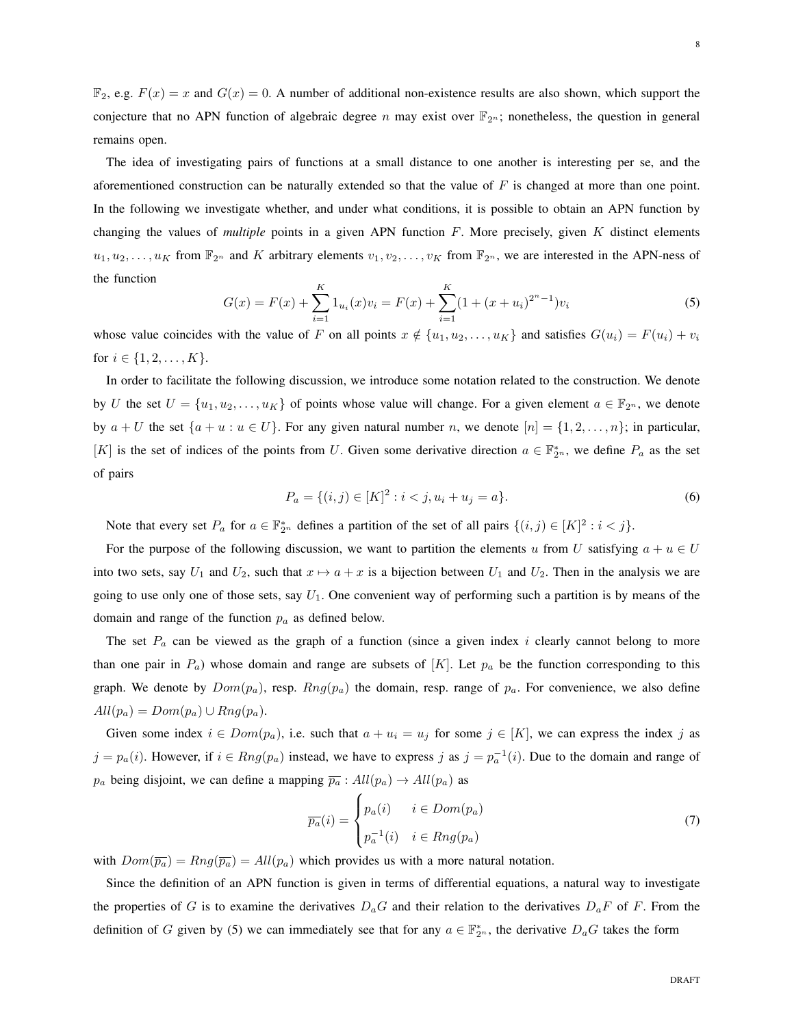$\mathbb{F}_2$ , e.g.  $F(x) = x$  and  $G(x) = 0$ . A number of additional non-existence results are also shown, which support the conjecture that no APN function of algebraic degree n may exist over  $\mathbb{F}_{2n}$ ; nonetheless, the question in general remains open.

The idea of investigating pairs of functions at a small distance to one another is interesting per se, and the aforementioned construction can be naturally extended so that the value of  $F$  is changed at more than one point. In the following we investigate whether, and under what conditions, it is possible to obtain an APN function by changing the values of *multiple* points in a given APN function F. More precisely, given K distinct elements  $u_1, u_2, \ldots, u_K$  from  $\mathbb{F}_{2^n}$  and K arbitrary elements  $v_1, v_2, \ldots, v_K$  from  $\mathbb{F}_{2^n}$ , we are interested in the APN-ness of the function

$$
G(x) = F(x) + \sum_{i=1}^{K} 1_{u_i}(x)v_i = F(x) + \sum_{i=1}^{K} (1 + (x + u_i)^{2^n - 1})v_i
$$
\n(5)

whose value coincides with the value of F on all points  $x \notin \{u_1, u_2, \dots, u_K\}$  and satisfies  $G(u_i) = F(u_i) + v_i$ for  $i \in \{1, 2, ..., K\}$ .

In order to facilitate the following discussion, we introduce some notation related to the construction. We denote by U the set  $U = \{u_1, u_2, \dots, u_K\}$  of points whose value will change. For a given element  $a \in \mathbb{F}_{2^n}$ , we denote by  $a + U$  the set  $\{a + u : u \in U\}$ . For any given natural number n, we denote  $[n] = \{1, 2, ..., n\}$ ; in particular, [K] is the set of indices of the points from U. Given some derivative direction  $a \in \mathbb{F}_{2^n}^*$ , we define  $P_a$  as the set of pairs

$$
P_a = \{(i, j) \in [K]^2 : i < j, u_i + u_j = a\}.\tag{6}
$$

Note that every set  $P_a$  for  $a \in \mathbb{F}_{2^n}^*$  defines a partition of the set of all pairs  $\{(i,j) \in [K]^2 : i < j\}$ .

For the purpose of the following discussion, we want to partition the elements u from U satisfying  $a + u \in U$ into two sets, say  $U_1$  and  $U_2$ , such that  $x \mapsto a + x$  is a bijection between  $U_1$  and  $U_2$ . Then in the analysis we are going to use only one of those sets, say  $U_1$ . One convenient way of performing such a partition is by means of the domain and range of the function  $p_a$  as defined below.

The set  $P_a$  can be viewed as the graph of a function (since a given index i clearly cannot belong to more than one pair in  $P_a$ ) whose domain and range are subsets of [K]. Let  $p_a$  be the function corresponding to this graph. We denote by  $Dom(p_a)$ , resp.  $Rng(p_a)$  the domain, resp. range of  $p_a$ . For convenience, we also define  $All(p_a) = Dom(p_a) \cup Rng(p_a).$ 

Given some index  $i \in Dom(p_a)$ , i.e. such that  $a + u_i = u_j$  for some  $j \in [K]$ , we can express the index j as  $j = p_a(i)$ . However, if  $i \in Rng(p_a)$  instead, we have to express j as  $j = p_a^{-1}(i)$ . Due to the domain and range of  $p_a$  being disjoint, we can define a mapping  $\overline{p_a}$  :  $All(p_a) \rightarrow All(p_a)$  as

$$
\overline{p_a}(i) = \begin{cases} p_a(i) & i \in Dom(p_a) \\ p_a^{-1}(i) & i \in Rng(p_a) \end{cases} \tag{7}
$$

with  $Dom(\overline{p_a}) = Rng(\overline{p_a}) = All(p_a)$  which provides us with a more natural notation.

Since the definition of an APN function is given in terms of differential equations, a natural way to investigate the properties of G is to examine the derivatives  $D_aG$  and their relation to the derivatives  $D_aF$  of F. From the definition of G given by (5) we can immediately see that for any  $a \in \mathbb{F}_{2^n}^*$ , the derivative  $D_aG$  takes the form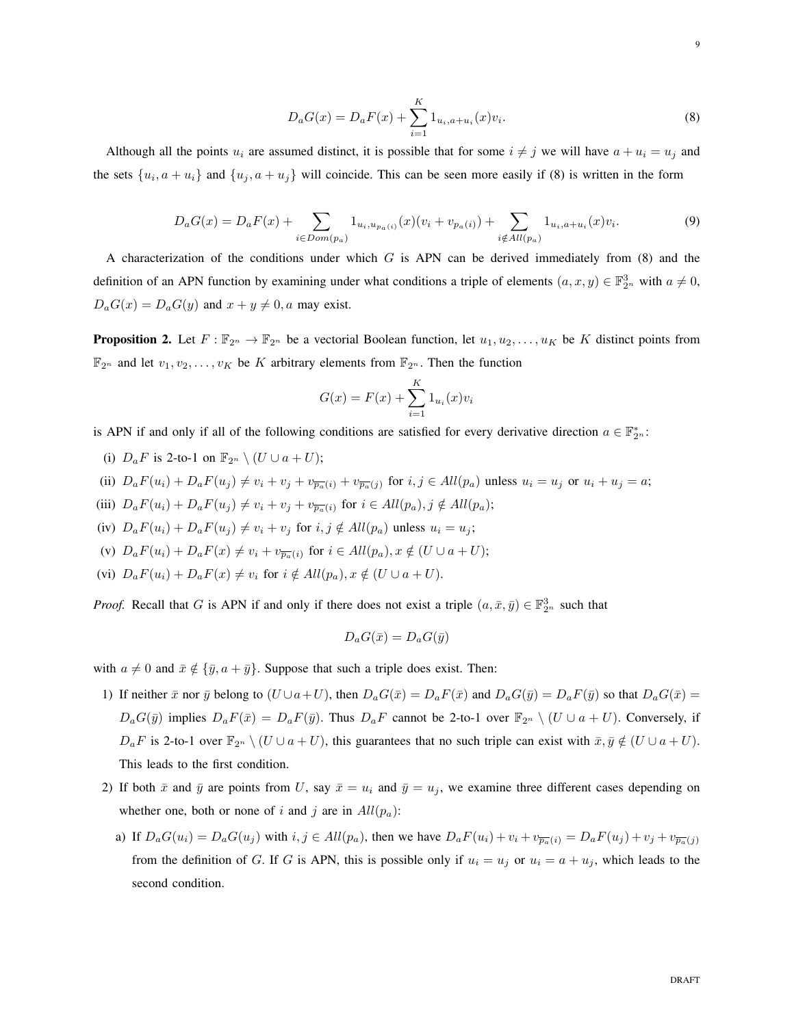$$
D_a G(x) = D_a F(x) + \sum_{i=1}^{K} 1_{u_i, a+u_i}(x) v_i.
$$
\n(8)

Although all the points  $u_i$  are assumed distinct, it is possible that for some  $i \neq j$  we will have  $a + u_i = u_j$  and the sets  $\{u_i, a + u_i\}$  and  $\{u_j, a + u_j\}$  will coincide. This can be seen more easily if (8) is written in the form

$$
D_a G(x) = D_a F(x) + \sum_{i \in Dom(p_a)} 1_{u_i, u_{p_a(i)}}(x)(v_i + v_{p_a(i)}) + \sum_{i \notin All(p_a)} 1_{u_i, a + u_i}(x)v_i.
$$
\n(9)

A characterization of the conditions under which  $G$  is APN can be derived immediately from  $(8)$  and the definition of an APN function by examining under what conditions a triple of elements  $(a, x, y) \in \mathbb{F}_{2^n}^3$  with  $a \neq 0$ ,  $D_aG(x) = D_aG(y)$  and  $x + y \neq 0$ , a may exist.

**Proposition 2.** Let  $F : \mathbb{F}_{2^n} \to \mathbb{F}_{2^n}$  be a vectorial Boolean function, let  $u_1, u_2, \ldots, u_K$  be K distinct points from  $\mathbb{F}_{2^n}$  and let  $v_1, v_2, \ldots, v_K$  be K arbitrary elements from  $\mathbb{F}_{2^n}$ . Then the function

$$
G(x) = F(x) + \sum_{i=1}^{K} 1_{u_i}(x)v_i
$$

is APN if and only if all of the following conditions are satisfied for every derivative direction  $a \in \mathbb{F}_{2^n}^*$ :

- (i)  $D_a F$  is 2-to-1 on  $\mathbb{F}_{2^n} \setminus (U \cup a + U);$
- (ii)  $D_a F(u_i) + D_a F(u_j) \neq v_i + v_j + v_{\overline{p_a}(i)} + v_{\overline{p_a}(j)}$  for  $i, j \in All(p_a)$  unless  $u_i = u_j$  or  $u_i + u_j = a;$
- (iii)  $D_a F(u_i) + D_a F(u_j) \neq v_i + v_j + v_{\overline{p_a}(i)}$  for  $i \in All(p_a), j \notin All(p_a);$
- (iv)  $D_aF(u_i) + D_aF(u_j) \neq v_i + v_j$  for  $i, j \notin All(p_a)$  unless  $u_i = u_j$ ;
- (v)  $D_a F(u_i) + D_a F(x) \neq v_i + v_{\overline{p_a}(i)}$  for  $i \in All(p_a), x \notin (U \cup a + U);$
- (vi)  $D_aF(u_i) + D_aF(x) \neq v_i$  for  $i \notin All(p_a), x \notin (U \cup a + U)$ .

*Proof.* Recall that G is APN if and only if there does not exist a triple  $(a, \bar{x}, \bar{y}) \in \mathbb{F}_{2^n}^3$  such that

$$
D_a G(\bar{x}) = D_a G(\bar{y})
$$

with  $a \neq 0$  and  $\bar{x} \notin {\bar{y}, a + \bar{y}}$ . Suppose that such a triple does exist. Then:

- 1) If neither  $\bar{x}$  nor  $\bar{y}$  belong to  $(U \cup a+U)$ , then  $D_aG(\bar{x}) = D_aF(\bar{x})$  and  $D_aG(\bar{y}) = D_aF(\bar{y})$  so that  $D_aG(\bar{x}) = D_aF(\bar{y})$  $D_aG(\bar{y})$  implies  $D_aF(\bar{x}) = D_aF(\bar{y})$ . Thus  $D_aF$  cannot be 2-to-1 over  $\mathbb{F}_{2^n} \setminus (U \cup a + U)$ . Conversely, if  $D_aF$  is 2-to-1 over  $\mathbb{F}_{2^n} \setminus (U \cup a + U)$ , this guarantees that no such triple can exist with  $\bar{x}, \bar{y} \notin (U \cup a + U)$ . This leads to the first condition.
- 2) If both  $\bar{x}$  and  $\bar{y}$  are points from U, say  $\bar{x} = u_i$  and  $\bar{y} = u_j$ , we examine three different cases depending on whether one, both or none of i and j are in  $All(p_a)$ :
	- a) If  $D_aG(u_i) = D_aG(u_j)$  with  $i, j \in All(p_a)$ , then we have  $D_aF(u_i) + v_i + v_{\overline{p_a}(i)} = D_aF(u_j) + v_j + v_{\overline{p_a}(j)}$ from the definition of G. If G is APN, this is possible only if  $u_i = u_j$  or  $u_i = a + u_j$ , which leads to the second condition.

9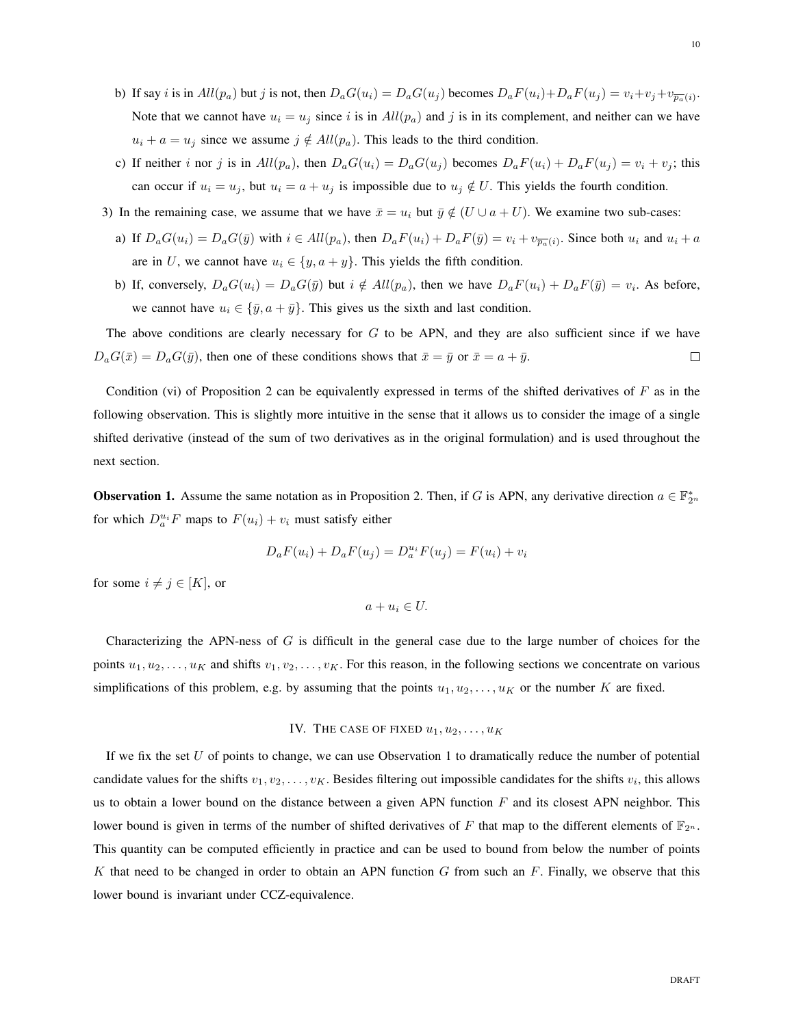- b) If say *i* is in  $All(p_a)$  but *j* is not, then  $D_aG(u_i) = D_aG(u_j)$  becomes  $D_aF(u_i) + D_aF(u_j) = v_i + v_j + v_{\overline{p_a}(i)}$ . Note that we cannot have  $u_i = u_j$  since i is in  $All(p_a)$  and j is in its complement, and neither can we have  $u_i + a = u_j$  since we assume  $j \notin All(p_a)$ . This leads to the third condition.
- c) If neither i nor j is in  $All(p_a)$ , then  $D_aG(u_i) = D_aG(u_j)$  becomes  $D_aF(u_i) + D_aF(u_j) = v_i + v_j$ ; this can occur if  $u_i = u_j$ , but  $u_i = a + u_j$  is impossible due to  $u_j \notin U$ . This yields the fourth condition.
- 3) In the remaining case, we assume that we have  $\bar{x} = u_i$  but  $\bar{y} \notin (U \cup a + U)$ . We examine two sub-cases:
	- a) If  $D_aG(u_i) = D_aG(\bar{y})$  with  $i \in All(p_a)$ , then  $D_aF(u_i) + D_aF(\bar{y}) = v_i + v_{\overline{p_a}(i)}$ . Since both  $u_i$  and  $u_i + a$ are in U, we cannot have  $u_i \in \{y, a + y\}$ . This yields the fifth condition.
	- b) If, conversely,  $D_aG(u_i) = D_aG(\bar{y})$  but  $i \notin All(p_a)$ , then we have  $D_aF(u_i) + D_aF(\bar{y}) = v_i$ . As before, we cannot have  $u_i \in {\{\bar{y}, a + \bar{y}\}}$ . This gives us the sixth and last condition.

The above conditions are clearly necessary for  $G$  to be APN, and they are also sufficient since if we have  $\Box$  $D_aG(\bar{x}) = D_aG(\bar{y})$ , then one of these conditions shows that  $\bar{x} = \bar{y}$  or  $\bar{x} = a + \bar{y}$ .

Condition (vi) of Proposition 2 can be equivalently expressed in terms of the shifted derivatives of  $F$  as in the following observation. This is slightly more intuitive in the sense that it allows us to consider the image of a single shifted derivative (instead of the sum of two derivatives as in the original formulation) and is used throughout the next section.

**Observation 1.** Assume the same notation as in Proposition 2. Then, if G is APN, any derivative direction  $a \in \mathbb{F}_{2^n}^*$ for which  $D_a^{u_i}F$  maps to  $F(u_i) + v_i$  must satisfy either

$$
D_a F(u_i) + D_a F(u_j) = D_a^{u_i} F(u_j) = F(u_i) + v_i
$$

for some  $i \neq j \in [K]$ , or

 $a + u_i \in U$ .

Characterizing the APN-ness of  $G$  is difficult in the general case due to the large number of choices for the points  $u_1, u_2, \ldots, u_K$  and shifts  $v_1, v_2, \ldots, v_K$ . For this reason, in the following sections we concentrate on various simplifications of this problem, e.g. by assuming that the points  $u_1, u_2, \ldots, u_K$  or the number K are fixed.

# IV. THE CASE OF FIXED  $u_1, u_2, \ldots, u_K$

If we fix the set  $U$  of points to change, we can use Observation 1 to dramatically reduce the number of potential candidate values for the shifts  $v_1, v_2, \ldots, v_K$ . Besides filtering out impossible candidates for the shifts  $v_i$ , this allows us to obtain a lower bound on the distance between a given APN function  $F$  and its closest APN neighbor. This lower bound is given in terms of the number of shifted derivatives of F that map to the different elements of  $\mathbb{F}_{2^n}$ . This quantity can be computed efficiently in practice and can be used to bound from below the number of points K that need to be changed in order to obtain an APN function G from such an  $F$ . Finally, we observe that this lower bound is invariant under CCZ-equivalence.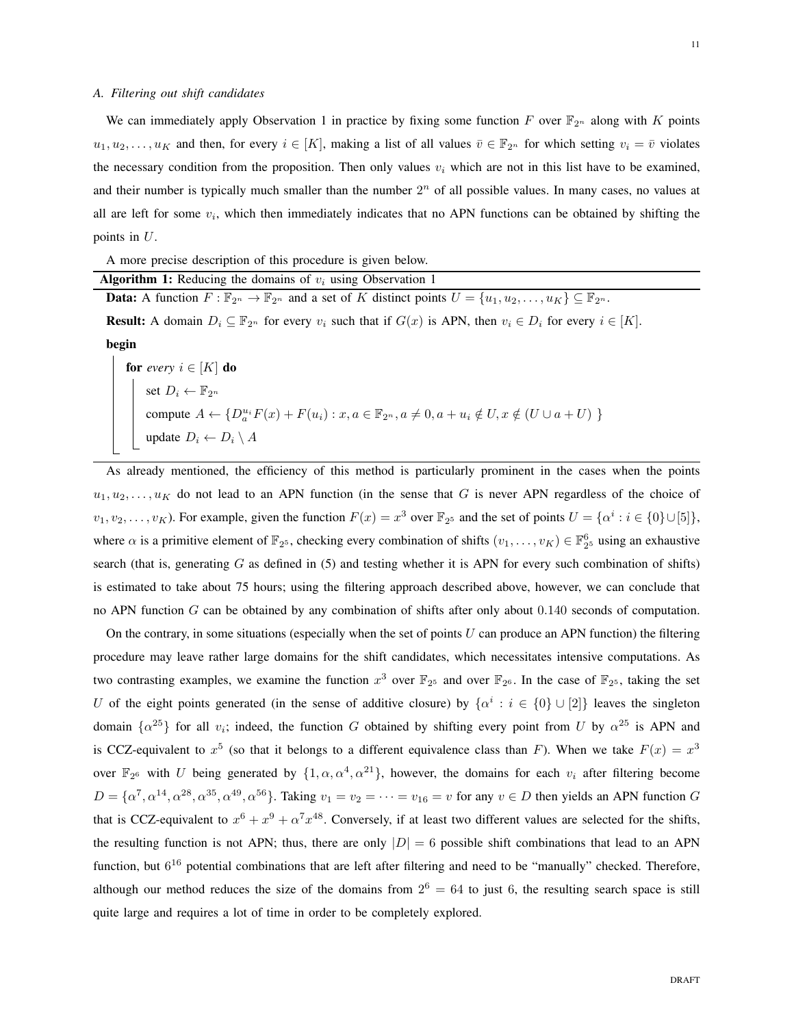### *A. Filtering out shift candidates*

We can immediately apply Observation 1 in practice by fixing some function F over  $\mathbb{F}_{2^n}$  along with K points  $u_1, u_2, \ldots, u_K$  and then, for every  $i \in [K]$ , making a list of all values  $\overline{v} \in \mathbb{F}_{2^n}$  for which setting  $v_i = \overline{v}$  violates the necessary condition from the proposition. Then only values  $v_i$  which are not in this list have to be examined, and their number is typically much smaller than the number  $2<sup>n</sup>$  of all possible values. In many cases, no values at all are left for some  $v_i$ , which then immediately indicates that no APN functions can be obtained by shifting the points in U.

A more precise description of this procedure is given below.

| <b>Algorithm 1:</b> Reducing the domains of $v_i$ using Observation 1 |  |  |  |  |  |  |  |
|-----------------------------------------------------------------------|--|--|--|--|--|--|--|
|                                                                       |  |  |  |  |  |  |  |

**Data:** A function  $F : \mathbb{F}_{2^n} \to \mathbb{F}_{2^n}$  and a set of K distinct points  $U = \{u_1, u_2, \dots, u_K\} \subseteq \mathbb{F}_{2^n}$ .

**Result:** A domain  $D_i \subseteq \mathbb{F}_{2^n}$  for every  $v_i$  such that if  $G(x)$  is APN, then  $v_i \in D_i$  for every  $i \in [K]$ .

begin

for *every*  $i \in [K]$  do set  $D_i \leftarrow \mathbb{F}_{2^n}$ compute  $A \leftarrow \{D_a^{u_i} F(x) + F(u_i) : x, a \in \mathbb{F}_{2^n}, a \neq 0, a + u_i \notin U, x \notin (U \cup a + U) \}$ update  $D_i \leftarrow D_i \setminus A$ 

As already mentioned, the efficiency of this method is particularly prominent in the cases when the points  $u_1, u_2, \ldots, u_K$  do not lead to an APN function (in the sense that G is never APN regardless of the choice of  $v_1, v_2, \ldots, v_K$ ). For example, given the function  $F(x) = x^3$  over  $\mathbb{F}_{2^5}$  and the set of points  $U = \{ \alpha^i : i \in \{0\} \cup [5] \},$ where  $\alpha$  is a primitive element of  $\mathbb{F}_{2^5}$ , checking every combination of shifts  $(v_1, \ldots, v_K) \in \mathbb{F}_{2^5}^6$  using an exhaustive search (that is, generating  $G$  as defined in (5) and testing whether it is APN for every such combination of shifts) is estimated to take about 75 hours; using the filtering approach described above, however, we can conclude that no APN function G can be obtained by any combination of shifts after only about 0.140 seconds of computation.

On the contrary, in some situations (especially when the set of points  $U$  can produce an APN function) the filtering procedure may leave rather large domains for the shift candidates, which necessitates intensive computations. As two contrasting examples, we examine the function  $x^3$  over  $\mathbb{F}_{2^5}$  and over  $\mathbb{F}_{2^6}$ . In the case of  $\mathbb{F}_{2^5}$ , taking the set U of the eight points generated (in the sense of additive closure) by  $\{\alpha^i : i \in \{0\} \cup [2]\}$  leaves the singleton domain  $\{\alpha^{25}\}\$  for all  $v_i$ ; indeed, the function G obtained by shifting every point from U by  $\alpha^{25}$  is APN and is CCZ-equivalent to  $x^5$  (so that it belongs to a different equivalence class than F). When we take  $F(x) = x^3$ over  $\mathbb{F}_{2^6}$  with U being generated by  $\{1,\alpha,\alpha^4,\alpha^{21}\}\$ , however, the domains for each  $v_i$  after filtering become  $D = \{\alpha^7, \alpha^{14}, \alpha^{28}, \alpha^{35}, \alpha^{49}, \alpha^{56}\}\$ . Taking  $v_1 = v_2 = \cdots = v_{16} = v$  for any  $v \in D$  then yields an APN function G that is CCZ-equivalent to  $x^6 + x^9 + \alpha^7 x^{48}$ . Conversely, if at least two different values are selected for the shifts, the resulting function is not APN; thus, there are only  $|D| = 6$  possible shift combinations that lead to an APN function, but  $6^{16}$  potential combinations that are left after filtering and need to be "manually" checked. Therefore, although our method reduces the size of the domains from  $2^6 = 64$  to just 6, the resulting search space is still quite large and requires a lot of time in order to be completely explored.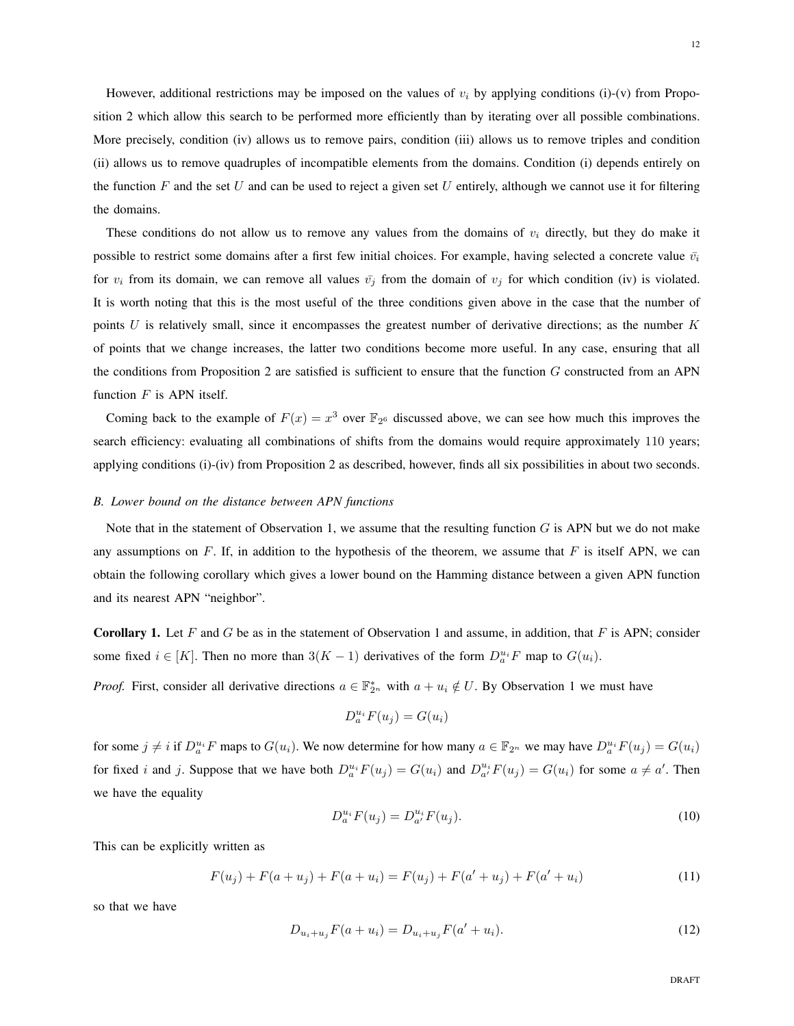However, additional restrictions may be imposed on the values of  $v_i$  by applying conditions (i)-(v) from Proposition 2 which allow this search to be performed more efficiently than by iterating over all possible combinations. More precisely, condition (iv) allows us to remove pairs, condition (iii) allows us to remove triples and condition (ii) allows us to remove quadruples of incompatible elements from the domains. Condition (i) depends entirely on the function  $F$  and the set  $U$  and can be used to reject a given set  $U$  entirely, although we cannot use it for filtering the domains.

These conditions do not allow us to remove any values from the domains of  $v_i$  directly, but they do make it possible to restrict some domains after a first few initial choices. For example, having selected a concrete value  $\bar{v_i}$ for  $v_i$  from its domain, we can remove all values  $\bar{v}_j$  from the domain of  $v_j$  for which condition (iv) is violated. It is worth noting that this is the most useful of the three conditions given above in the case that the number of points  $U$  is relatively small, since it encompasses the greatest number of derivative directions; as the number  $K$ of points that we change increases, the latter two conditions become more useful. In any case, ensuring that all the conditions from Proposition 2 are satisfied is sufficient to ensure that the function  $G$  constructed from an APN function  $F$  is APN itself.

Coming back to the example of  $F(x) = x^3$  over  $\mathbb{F}_{2^6}$  discussed above, we can see how much this improves the search efficiency: evaluating all combinations of shifts from the domains would require approximately 110 years; applying conditions (i)-(iv) from Proposition 2 as described, however, finds all six possibilities in about two seconds.

#### *B. Lower bound on the distance between APN functions*

Note that in the statement of Observation 1, we assume that the resulting function  $G$  is APN but we do not make any assumptions on  $F$ . If, in addition to the hypothesis of the theorem, we assume that  $F$  is itself APN, we can obtain the following corollary which gives a lower bound on the Hamming distance between a given APN function and its nearest APN "neighbor".

**Corollary 1.** Let F and G be as in the statement of Observation 1 and assume, in addition, that F is APN; consider some fixed  $i \in [K]$ . Then no more than  $3(K-1)$  derivatives of the form  $D_a^{u_i}F$  map to  $G(u_i)$ .

*Proof.* First, consider all derivative directions  $a \in \mathbb{F}_{2^n}^*$  with  $a + u_i \notin U$ . By Observation 1 we must have

$$
D_a^{u_i} F(u_j) = G(u_i)
$$

for some  $j \neq i$  if  $D_a^{u_i}F$  maps to  $G(u_i)$ . We now determine for how many  $a \in \mathbb{F}_{2^n}$  we may have  $D_a^{u_i}F(u_j) = G(u_i)$ for fixed i and j. Suppose that we have both  $D_a^{u_i}F(u_j) = G(u_i)$  and  $D_{a'}^{u_i}F(u_j) = G(u_i)$  for some  $a \neq a'$ . Then we have the equality

$$
D_a^{u_i} F(u_j) = D_{a'}^{u_i} F(u_j). \tag{10}
$$

This can be explicitly written as

$$
F(u_j) + F(a + u_j) + F(a + u_i) = F(u_j) + F(a' + u_j) + F(a' + u_i)
$$
\n(11)

so that we have

$$
D_{u_i + u_j} F(a + u_i) = D_{u_i + u_j} F(a' + u_i).
$$
\n(12)

DRAFT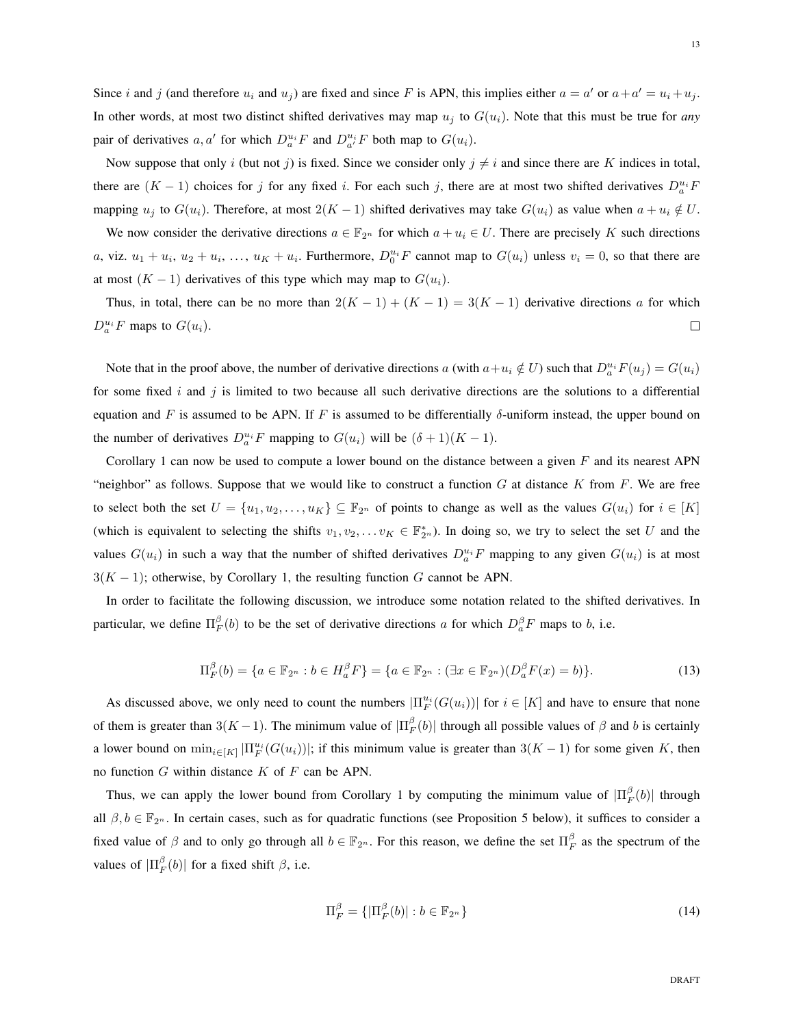Since i and j (and therefore  $u_i$  and  $u_j$ ) are fixed and since F is APN, this implies either  $a = a'$  or  $a + a' = u_i + u_j$ . In other words, at most two distinct shifted derivatives may map  $u_i$  to  $G(u_i)$ . Note that this must be true for *any* pair of derivatives a, a' for which  $D_a^{u_i}F$  and  $D_{a'}^{u_i}F$  both map to  $G(u_i)$ .

Now suppose that only i (but not j) is fixed. Since we consider only  $j \neq i$  and since there are K indices in total, there are  $(K-1)$  choices for j for any fixed i. For each such j, there are at most two shifted derivatives  $D_a^{u_i}F_a$ mapping  $u_j$  to  $G(u_i)$ . Therefore, at most  $2(K-1)$  shifted derivatives may take  $G(u_i)$  as value when  $a + u_i \notin U$ .

We now consider the derivative directions  $a \in \mathbb{F}_{2^n}$  for which  $a + u_i \in U$ . There are precisely K such directions a, viz.  $u_1 + u_i$ ,  $u_2 + u_i$ , ...,  $u_K + u_i$ . Furthermore,  $D_0^{u_i}F$  cannot map to  $G(u_i)$  unless  $v_i = 0$ , so that there are at most  $(K - 1)$  derivatives of this type which may map to  $G(u_i)$ .

Thus, in total, there can be no more than  $2(K-1) + (K-1) = 3(K-1)$  derivative directions a for which  $D_a^{u_i}F$  maps to  $G(u_i)$ .  $\Box$ 

Note that in the proof above, the number of derivative directions a (with  $a+u_i \notin U$ ) such that  $D_a^{u_i}F(u_j) = G(u_i)$ for some fixed  $i$  and  $j$  is limited to two because all such derivative directions are the solutions to a differential equation and F is assumed to be APN. If F is assumed to be differentially δ-uniform instead, the upper bound on the number of derivatives  $D_a^{u_i}F$  mapping to  $G(u_i)$  will be  $(\delta+1)(K-1)$ .

Corollary 1 can now be used to compute a lower bound on the distance between a given  $F$  and its nearest APN "neighbor" as follows. Suppose that we would like to construct a function  $G$  at distance  $K$  from  $F$ . We are free to select both the set  $U = \{u_1, u_2, \ldots, u_K\} \subseteq \mathbb{F}_{2^n}$  of points to change as well as the values  $G(u_i)$  for  $i \in [K]$ (which is equivalent to selecting the shifts  $v_1, v_2, \ldots v_K \in \mathbb{F}_{2^n}^*$ ). In doing so, we try to select the set U and the values  $G(u_i)$  in such a way that the number of shifted derivatives  $D_a^{u_i}F$  mapping to any given  $G(u_i)$  is at most  $3(K-1)$ ; otherwise, by Corollary 1, the resulting function G cannot be APN.

In order to facilitate the following discussion, we introduce some notation related to the shifted derivatives. In particular, we define  $\Pi_F^{\beta}(b)$  to be the set of derivative directions a for which  $D_a^{\beta}F$  maps to b, i.e.

$$
\Pi_F^{\beta}(b) = \{ a \in \mathbb{F}_{2^n} : b \in H_a^{\beta} F \} = \{ a \in \mathbb{F}_{2^n} : (\exists x \in \mathbb{F}_{2^n}) (D_a^{\beta} F(x) = b) \}.
$$
\n(13)

As discussed above, we only need to count the numbers  $|\Pi_F^{u_i}(G(u_i))|$  for  $i \in [K]$  and have to ensure that none of them is greater than  $3(K-1)$ . The minimum value of  $|\Pi_F^{\beta}(b)|$  through all possible values of  $\beta$  and b is certainly a lower bound on  $\min_{i \in [K]} |\Pi_F^{u_i}(G(u_i))|$ ; if this minimum value is greater than  $3(K-1)$  for some given K, then no function  $G$  within distance  $K$  of  $F$  can be APN.

Thus, we can apply the lower bound from Corollary 1 by computing the minimum value of  $|\Pi_F^{\beta}(b)|$  through all  $\beta, b \in \mathbb{F}_{2^n}$ . In certain cases, such as for quadratic functions (see Proposition 5 below), it suffices to consider a fixed value of  $\beta$  and to only go through all  $b \in \mathbb{F}_{2^n}$ . For this reason, we define the set  $\Pi_F^{\beta}$  as the spectrum of the values of  $|\Pi_F^{\beta}(b)|$  for a fixed shift  $\beta$ , i.e.

$$
\Pi_F^{\beta} = \{ |\Pi_F^{\beta}(b)| : b \in \mathbb{F}_{2^n} \}
$$
\n
$$
(14)
$$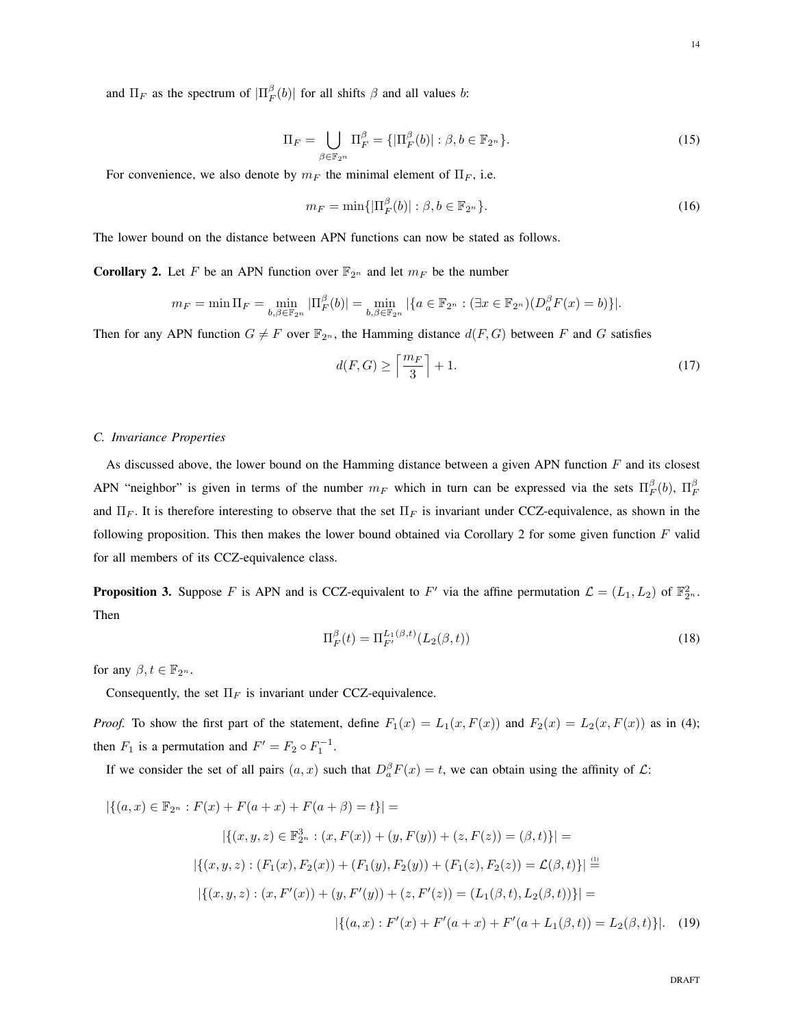$$
\Pi_F = \bigcup_{\beta \in \mathbb{F}_{2^n}} \Pi_F^{\beta} = \{ |\Pi_F^{\beta}(b)| : \beta, b \in \mathbb{F}_{2^n} \}.
$$
\n(15)

For convenience, we also denote by  $m_F$  the minimal element of  $\Pi_F$ , i.e.

$$
m_F = \min\{|\Pi_F^{\beta}(b)| : \beta, b \in \mathbb{F}_{2^n}\}.
$$
\n(16)

The lower bound on the distance between APN functions can now be stated as follows.

**Corollary 2.** Let F be an APN function over  $\mathbb{F}_{2^n}$  and let  $m_F$  be the number

$$
m_F = \min \Pi_F = \min_{b,\beta \in \mathbb{F}_{2^n}} |\Pi_F^{\beta}(b)| = \min_{b,\beta \in \mathbb{F}_{2^n}} |\{a \in \mathbb{F}_{2^n} : (\exists x \in \mathbb{F}_{2^n})(D_a^{\beta}F(x) = b)\}|.
$$

Then for any APN function  $G \neq F$  over  $\mathbb{F}_{2^n}$ , the Hamming distance  $d(F, G)$  between F and G satisfies

$$
d(F, G) \ge \left\lceil \frac{m_F}{3} \right\rceil + 1. \tag{17}
$$

# *C. Invariance Properties*

As discussed above, the lower bound on the Hamming distance between a given APN function  $F$  and its closest APN "neighbor" is given in terms of the number  $m_F$  which in turn can be expressed via the sets  $\Pi_F^{\beta}(b)$ ,  $\Pi_F^{\beta}$ and  $\Pi_F$ . It is therefore interesting to observe that the set  $\Pi_F$  is invariant under CCZ-equivalence, as shown in the following proposition. This then makes the lower bound obtained via Corollary 2 for some given function  $F$  valid for all members of its CCZ-equivalence class.

**Proposition 3.** Suppose F is APN and is CCZ-equivalent to F' via the affine permutation  $\mathcal{L} = (L_1, L_2)$  of  $\mathbb{F}_{2^n}^2$ . Then

$$
\Pi_F^{\beta}(t) = \Pi_{F'}^{L_1(\beta,t)}(L_2(\beta,t))
$$
\n(18)

for any  $\beta, t \in \mathbb{F}_{2^n}$ .

Consequently, the set  $\Pi_F$  is invariant under CCZ-equivalence.

*Proof.* To show the first part of the statement, define  $F_1(x) = L_1(x, F(x))$  and  $F_2(x) = L_2(x, F(x))$  as in (4); then  $F_1$  is a permutation and  $F' = F_2 \circ F_1^{-1}$ .

If we consider the set of all pairs  $(a, x)$  such that  $D_a^{\beta} F(x) = t$ , we can obtain using the affinity of  $\mathcal{L}$ :

$$
|\{(a,x)\in\mathbb{F}_{2^n}: F(x) + F(a+x) + F(a+\beta) = t\}| =
$$
  

$$
|\{(x,y,z)\in\mathbb{F}_{2^n}^3:(x,F(x)) + (y,F(y)) + (z,F(z)) = (\beta,t)\}| =
$$
  

$$
|\{(x,y,z):(F_1(x),F_2(x)) + (F_1(y),F_2(y)) + (F_1(z),F_2(z)) = \mathcal{L}(\beta,t)\}| \stackrel{\text{(i)}}{=}
$$
  

$$
|\{(x,y,z):(x,F'(x)) + (y,F'(y)) + (z,F'(z)) = (L_1(\beta,t),L_2(\beta,t))\}| =
$$
  

$$
|\{(a,x):F'(x) + F'(a+x) + F'(a+L_1(\beta,t)) = L_2(\beta,t)\}|.
$$
 (19)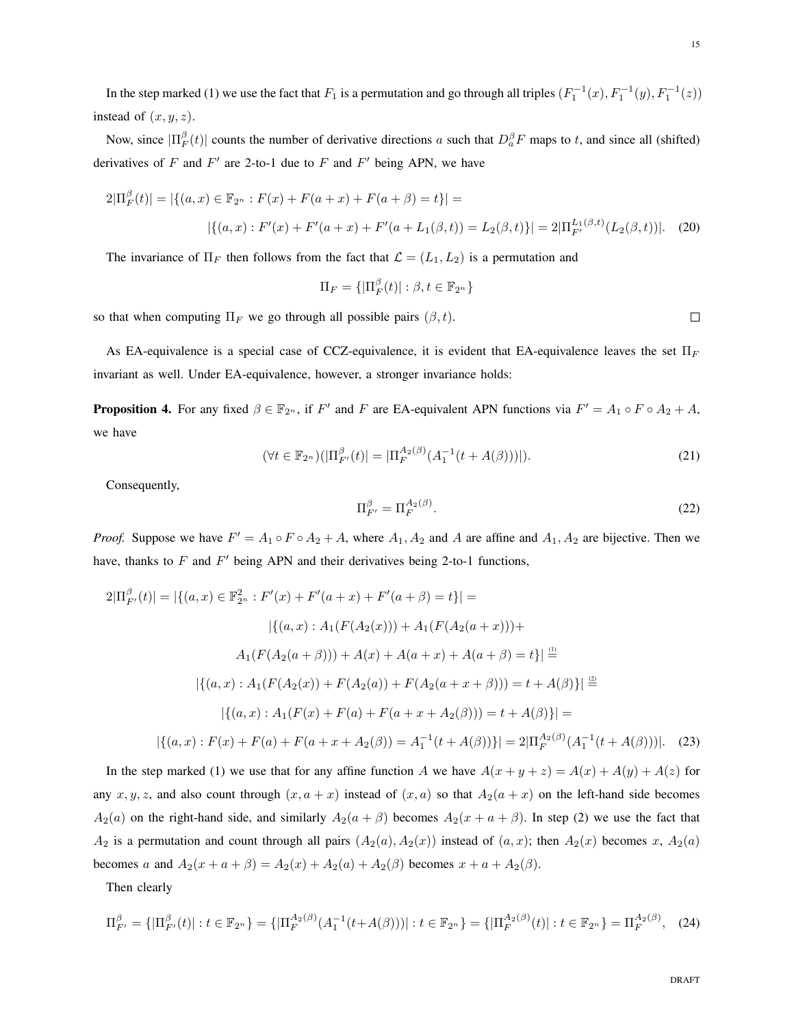In the step marked (1) we use the fact that  $F_1$  is a permutation and go through all triples  $(F_1^{-1}(x), F_1^{-1}(y), F_1^{-1}(z))$ instead of  $(x, y, z)$ .

Now, since  $|\Pi_F^{\beta}(t)|$  counts the number of derivative directions a such that  $D_a^{\beta}F$  maps to t, and since all (shifted) derivatives of F and  $F'$  are 2-to-1 due to F and  $F'$  being APN, we have

$$
2|\Pi_F^{\beta}(t)| = |\{(a, x) \in \mathbb{F}_{2^n} : F(x) + F(a+x) + F(a+\beta) = t\}| =
$$
  
 
$$
|\{(a, x) : F'(x) + F'(a+x) + F'(a+L_1(\beta, t)) = L_2(\beta, t)\}| = 2|\Pi_{F'}^{L_1(\beta, t)}(L_2(\beta, t))|.
$$
 (20)

The invariance of  $\Pi_F$  then follows from the fact that  $\mathcal{L} = (L_1, L_2)$  is a permutation and

$$
\Pi_F = \{|\Pi_F^{\beta}(t)| : \beta, t \in \mathbb{F}_{2^n}\}\
$$

so that when computing  $\Pi_F$  we go through all possible pairs  $(\beta, t)$ .

As EA-equivalence is a special case of CCZ-equivalence, it is evident that EA-equivalence leaves the set  $\Pi_F$ invariant as well. Under EA-equivalence, however, a stronger invariance holds:

**Proposition 4.** For any fixed  $\beta \in \mathbb{F}_{2^n}$ , if F' and F are EA-equivalent APN functions via  $F' = A_1 \circ F \circ A_2 + A$ , we have

$$
(\forall t \in \mathbb{F}_{2^n})(|\Pi_{F'}^{\beta}(t)| = |\Pi_{F}^{A_2(\beta)}(A_1^{-1}(t + A(\beta)))|). \tag{21}
$$

Consequently,

$$
\Pi_{F'}^{\beta} = \Pi_F^{A_2(\beta)}.
$$
\n(22)

*Proof.* Suppose we have  $F' = A_1 \circ F \circ A_2 + A$ , where  $A_1, A_2$  and A are affine and  $A_1, A_2$  are bijective. Then we have, thanks to  $F$  and  $F'$  being APN and their derivatives being 2-to-1 functions,

$$
2|\Pi_{F'}^{\beta}(t)| = |\{(a, x) \in \mathbb{F}_{2^n}^2 : F'(x) + F'(a+x) + F'(a+\beta) = t\}| =
$$
  

$$
|\{(a, x) : A_1(F(A_2(x))) + A_1(F(A_2(a+x))) +
$$
  

$$
A_1(F(A_2(a+\beta))) + A(x) + A(a+x) + A(a+\beta) = t\}| \stackrel{\text{(i)}}{=}
$$
  

$$
|\{(a, x) : A_1(F(A_2(x)) + F(A_2(a)) + F(A_2(a+x+\beta))) = t + A(\beta)\}| \stackrel{\text{(i)}}{=}
$$
  

$$
|\{(a, x) : A_1(F(x) + F(a) + F(a+x+A_2(\beta))) = t + A(\beta)\}| =
$$
  

$$
|\{(a, x) : F(x) + F(a) + F(a+x+A_2(\beta)) = A_1^{-1}(t + A(\beta))\}| = 2|\Pi_{F}^{A_2(\beta)}(A_1^{-1}(t + A(\beta)))|. \quad (23)
$$

In the step marked (1) we use that for any affine function A we have  $A(x + y + z) = A(x) + A(y) + A(z)$  for any x, y, z, and also count through  $(x, a + x)$  instead of  $(x, a)$  so that  $A_2(a + x)$  on the left-hand side becomes  $A_2(a)$  on the right-hand side, and similarly  $A_2(a + \beta)$  becomes  $A_2(x + a + \beta)$ . In step (2) we use the fact that  $A_2$  is a permutation and count through all pairs  $(A_2(a), A_2(x))$  instead of  $(a, x)$ ; then  $A_2(x)$  becomes x,  $A_2(a)$ becomes a and  $A_2(x + a + \beta) = A_2(x) + A_2(a) + A_2(\beta)$  becomes  $x + a + A_2(\beta)$ .

Then clearly

$$
\Pi_{F'}^{\beta} = \{ |\Pi_{F'}^{\beta}(t)| : t \in \mathbb{F}_{2^n} \} = \{ |\Pi_{F}^{A_2(\beta)}(A_1^{-1}(t + A(\beta)))| : t \in \mathbb{F}_{2^n} \} = \{ |\Pi_{F}^{A_2(\beta)}(t)| : t \in \mathbb{F}_{2^n} \} = \Pi_{F}^{A_2(\beta)}, \quad (24)
$$

 $\Box$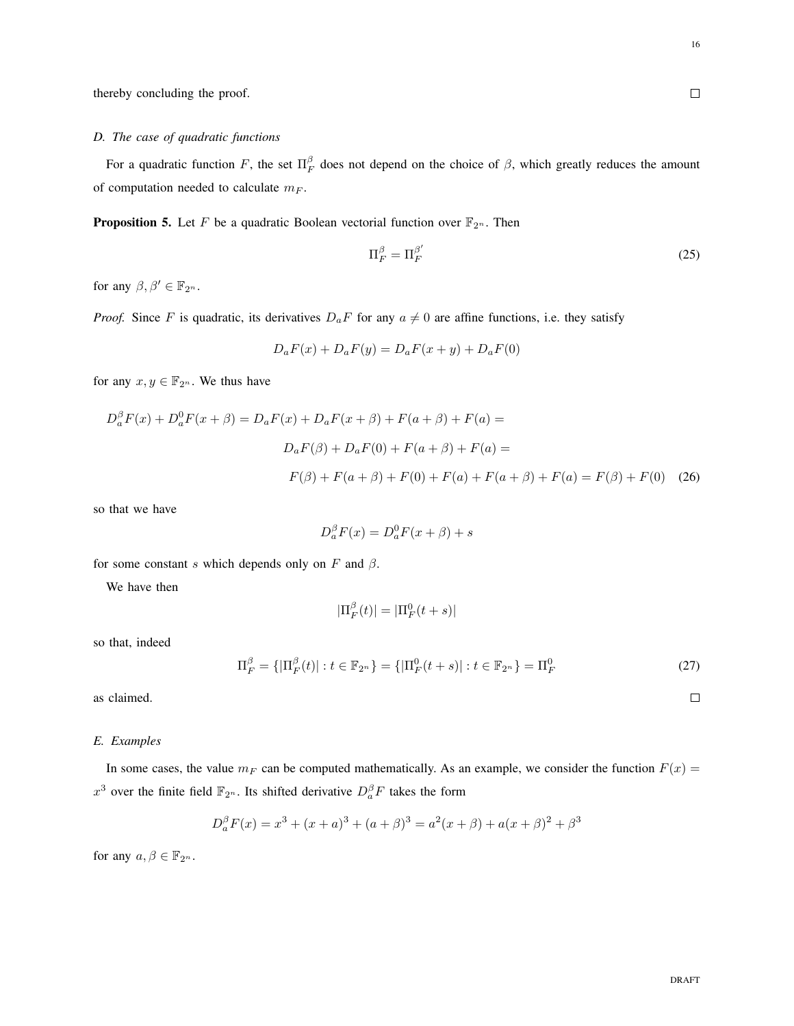$\Box$ 

thereby concluding the proof.

# *D. The case of quadratic functions*

For a quadratic function F, the set  $\Pi_F^{\beta}$  does not depend on the choice of  $\beta$ , which greatly reduces the amount of computation needed to calculate  $m_F$ .

**Proposition 5.** Let F be a quadratic Boolean vectorial function over  $\mathbb{F}_{2^n}$ . Then

$$
\Pi_F^{\beta} = \Pi_F^{\beta'} \tag{25}
$$

for any  $\beta, \beta' \in \mathbb{F}_{2^n}$ .

*Proof.* Since F is quadratic, its derivatives  $D_aF$  for any  $a \neq 0$  are affine functions, i.e. they satisfy

$$
D_a F(x) + D_a F(y) = D_a F(x + y) + D_a F(0)
$$

for any  $x, y \in \mathbb{F}_{2^n}$ . We thus have

$$
D_a^{\beta}F(x) + D_a^0F(x + \beta) = D_aF(x) + D_aF(x + \beta) + F(a + \beta) + F(a) =
$$
  

$$
D_aF(\beta) + D_aF(0) + F(a + \beta) + F(a) =
$$
  

$$
F(\beta) + F(a + \beta) + F(0) + F(a) + F(a + \beta) + F(a) = F(\beta) + F(0)
$$
 (26)

so that we have

$$
D_a^{\beta}F(x) = D_a^0F(x+\beta) + s
$$

for some constant s which depends only on  $F$  and  $\beta$ .

We have then

$$
|\Pi_F^{\beta}(t)| = |\Pi_F^0(t+s)|
$$

so that, indeed

$$
\Pi_F^{\beta} = \{ |\Pi_F^{\beta}(t)| : t \in \mathbb{F}_{2^n} \} = \{ |\Pi_F^0(t+s)| : t \in \mathbb{F}_{2^n} \} = \Pi_F^0 \tag{27}
$$

as claimed.

# *E. Examples*

In some cases, the value  $m_F$  can be computed mathematically. As an example, we consider the function  $F(x)$  =  $x^3$  over the finite field  $\mathbb{F}_{2^n}$ . Its shifted derivative  $D_a^{\beta}F$  takes the form

$$
D_a^{\beta}F(x) = x^3 + (x+a)^3 + (a+\beta)^3 = a^2(x+\beta) + a(x+\beta)^2 + \beta^3
$$

for any  $a, \beta \in \mathbb{F}_{2^n}$ .

 $\Box$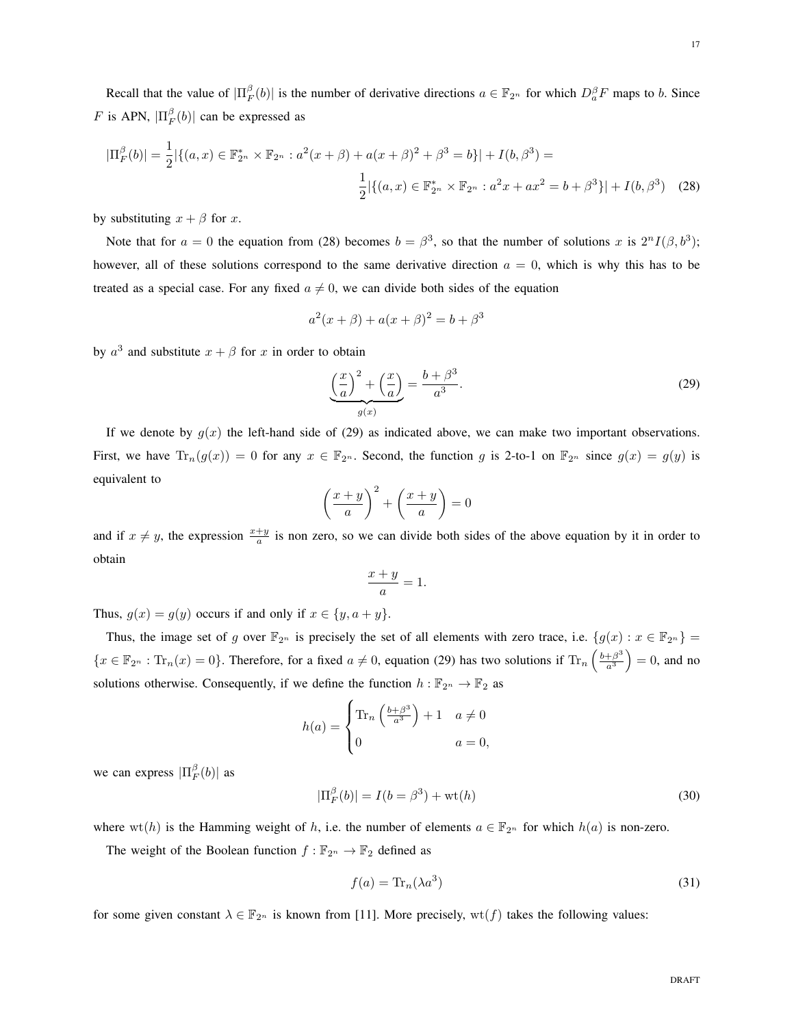Recall that the value of  $|\Pi_F^{\beta}(b)|$  is the number of derivative directions  $a \in \mathbb{F}_{2^n}$  for which  $D_a^{\beta}F$  maps to b. Since F is APN,  $|\Pi_F^{\beta}(b)|$  can be expressed as

$$
|\Pi_F^{\beta}(b)| = \frac{1}{2} |\{(a, x) \in \mathbb{F}_{2^n}^* \times \mathbb{F}_{2^n} : a^2(x + \beta) + a(x + \beta)^2 + \beta^3 = b\}| + I(b, \beta^3) =
$$
  

$$
\frac{1}{2} |\{(a, x) \in \mathbb{F}_{2^n}^* \times \mathbb{F}_{2^n} : a^2x + ax^2 = b + \beta^3\}| + I(b, \beta^3)
$$
 (28)

by substituting  $x + \beta$  for x.

Note that for  $a = 0$  the equation from (28) becomes  $b = \beta^3$ , so that the number of solutions x is  $2^n I(\beta, b^3)$ ; however, all of these solutions correspond to the same derivative direction  $a = 0$ , which is why this has to be treated as a special case. For any fixed  $a \neq 0$ , we can divide both sides of the equation

$$
a^{2}(x + \beta) + a(x + \beta)^{2} = b + \beta^{3}
$$

by  $a^3$  and substitute  $x + \beta$  for x in order to obtain

$$
\underbrace{\left(\frac{x}{a}\right)^2 + \left(\frac{x}{a}\right)}_{g(x)} = \frac{b + \beta^3}{a^3}.
$$
\n(29)

If we denote by  $g(x)$  the left-hand side of (29) as indicated above, we can make two important observations. First, we have  $\text{Tr}_n(g(x)) = 0$  for any  $x \in \mathbb{F}_{2^n}$ . Second, the function g is 2-to-1 on  $\mathbb{F}_{2^n}$  since  $g(x) = g(y)$  is equivalent to

$$
\left(\frac{x+y}{a}\right)^2 + \left(\frac{x+y}{a}\right) = 0
$$

and if  $x \neq y$ , the expression  $\frac{x+y}{a}$  is non zero, so we can divide both sides of the above equation by it in order to obtain

$$
\frac{x+y}{a} = 1.
$$

Thus,  $g(x) = g(y)$  occurs if and only if  $x \in \{y, a + y\}.$ 

Thus, the image set of g over  $\mathbb{F}_{2^n}$  is precisely the set of all elements with zero trace, i.e.  $\{g(x) : x \in \mathbb{F}_{2^n}\}$  $\{x \in \mathbb{F}_{2^n} : \text{Tr}_n(x) = 0\}.$  Therefore, for a fixed  $a \neq 0$ , equation (29) has two solutions if  $\text{Tr}_n\left(\frac{b+\beta^3}{a^3}\right)$  $\left(\frac{+\beta^3}{a^3}\right) = 0$ , and no solutions otherwise. Consequently, if we define the function  $h : \mathbb{F}_{2^n} \to \mathbb{F}_2$  as

$$
h(a) = \begin{cases} \text{Tr}_n\left(\frac{b+\beta^3}{a^3}\right) + 1 & a \neq 0\\ 0 & a = 0, \end{cases}
$$

we can express  $|\Pi_F^{\beta}(b)|$  as

$$
|\Pi_F^{\beta}(b)| = I(b = \beta^3) + \text{wt}(h)
$$
\n(30)

where wt(h) is the Hamming weight of h, i.e. the number of elements  $a \in \mathbb{F}_{2^n}$  for which  $h(a)$  is non-zero.

The weight of the Boolean function  $f : \mathbb{F}_{2^n} \to \mathbb{F}_2$  defined as

$$
f(a) = \text{Tr}_n(\lambda a^3) \tag{31}
$$

for some given constant  $\lambda \in \mathbb{F}_{2^n}$  is known from [11]. More precisely,  $wt(f)$  takes the following values: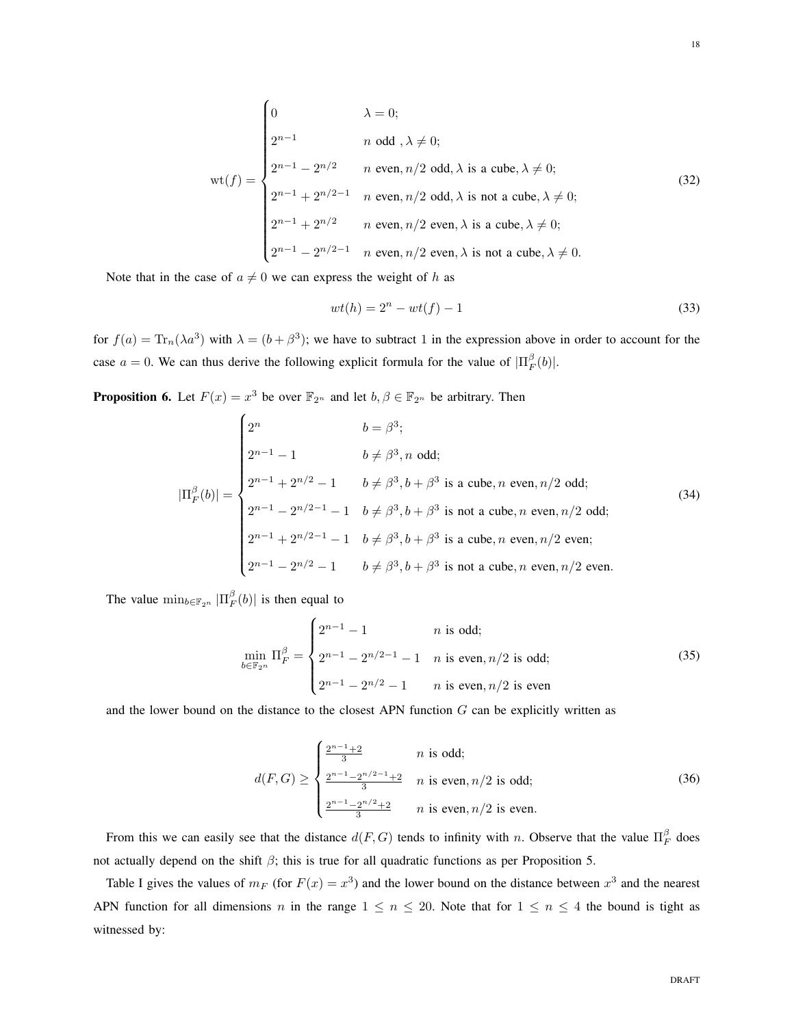$$
\text{wt}(f) = \begin{cases}\n0 & \lambda = 0; \\
2^{n-1} & n \text{ odd }, \lambda \neq 0; \\
2^{n-1} - 2^{n/2} & n \text{ even}, n/2 \text{ odd}, \lambda \text{ is a cube}, \lambda \neq 0; \\
2^{n-1} + 2^{n/2 - 1} & n \text{ even}, n/2 \text{ odd}, \lambda \text{ is not a cube}, \lambda \neq 0; \\
2^{n-1} + 2^{n/2} & n \text{ even}, n/2 \text{ even}, \lambda \text{ is a cube}, \lambda \neq 0; \\
2^{n-1} - 2^{n/2 - 1} & n \text{ even}, n/2 \text{ even}, \lambda \text{ is not a cube}, \lambda \neq 0.\n\end{cases}
$$
\n(32)

Note that in the case of  $a \neq 0$  we can express the weight of h as

$$
wt(h) = 2n - wt(f) - 1
$$
\n(33)

for  $f(a) = \text{Tr}_n(\lambda a^3)$  with  $\lambda = (b + \beta^3)$ ; we have to subtract 1 in the expression above in order to account for the case  $a = 0$ . We can thus derive the following explicit formula for the value of  $|\Pi_F^{\beta}(b)|$ .

**Proposition 6.** Let  $F(x) = x^3$  be over  $\mathbb{F}_{2^n}$  and let  $b, \beta \in \mathbb{F}_{2^n}$  be arbitrary. Then

$$
|\Pi_F^{\beta}(b)| = \begin{cases} 2^n & b = \beta^3; \\ 2^{n-1} - 1 & b \neq \beta^3, n \text{ odd}; \\ 2^{n-1} + 2^{n/2} - 1 & b \neq \beta^3, b + \beta^3 \text{ is a cube}, n \text{ even}, n/2 \text{ odd}; \\ 2^{n-1} - 2^{n/2-1} - 1 & b \neq \beta^3, b + \beta^3 \text{ is not a cube}, n \text{ even}, n/2 \text{ odd}; \\ 2^{n-1} + 2^{n/2-1} - 1 & b \neq \beta^3, b + \beta^3 \text{ is a cube}, n \text{ even}, n/2 \text{ even}; \\ 2^{n-1} - 2^{n/2} - 1 & b \neq \beta^3, b + \beta^3 \text{ is not a cube}, n \text{ even}, n/2 \text{ even}. \end{cases}
$$
(34)

The value  $\min_{b \in \mathbb{F}_{2^n}} |\Pi_F^{\beta}(b)|$  is then equal to

$$
\min_{b \in \mathbb{F}_{2^n}} \Pi_F^{\beta} = \begin{cases} 2^{n-1} - 1 & n \text{ is odd;} \\ 2^{n-1} - 2^{n/2 - 1} - 1 & n \text{ is even, } n/2 \text{ is odd;} \\ 2^{n-1} - 2^{n/2} - 1 & n \text{ is even, } n/2 \text{ is even} \end{cases}
$$
(35)

and the lower bound on the distance to the closest APN function  $G$  can be explicitly written as

$$
d(F,G) \ge \begin{cases} \frac{2^{n-1}+2}{3} & n \text{ is odd;}\\ \frac{2^{n-1}-2^{n/2-1}+2}{3} & n \text{ is even, } n/2 \text{ is odd;}\\ \frac{2^{n-1}-2^{n/2}+2}{3} & n \text{ is even, } n/2 \text{ is even.} \end{cases}
$$
(36)

From this we can easily see that the distance  $d(F, G)$  tends to infinity with n. Observe that the value  $\prod_F^{\beta}$  does not actually depend on the shift  $\beta$ ; this is true for all quadratic functions as per Proposition 5.

Table I gives the values of  $m_F$  (for  $F(x) = x^3$ ) and the lower bound on the distance between  $x^3$  and the nearest APN function for all dimensions n in the range  $1 \le n \le 20$ . Note that for  $1 \le n \le 4$  the bound is tight as witnessed by: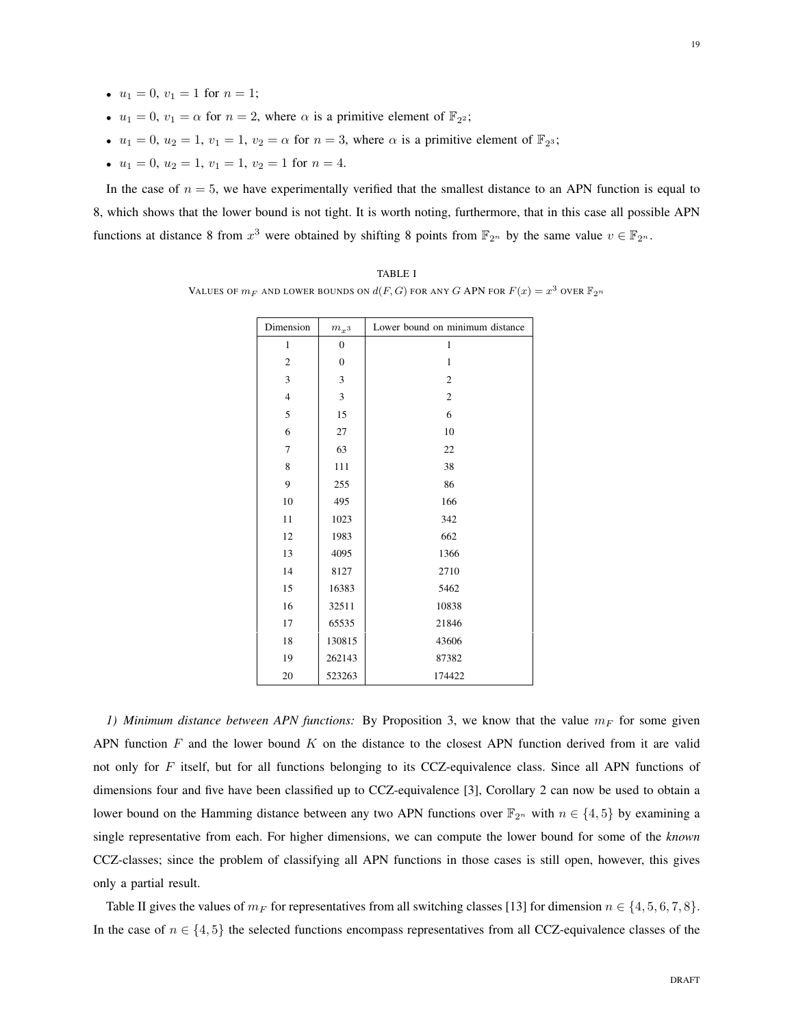- $u_1 = 0, v_1 = 1$  for  $n = 1$ ;
- $u_1 = 0$ ,  $v_1 = \alpha$  for  $n = 2$ , where  $\alpha$  is a primitive element of  $\mathbb{F}_{2^2}$ ;
- $u_1 = 0$ ,  $u_2 = 1$ ,  $v_1 = 1$ ,  $v_2 = \alpha$  for  $n = 3$ , where  $\alpha$  is a primitive element of  $\mathbb{F}_2$ ;
- $u_1 = 0, u_2 = 1, v_1 = 1, v_2 = 1$  for  $n = 4$ .

In the case of  $n = 5$ , we have experimentally verified that the smallest distance to an APN function is equal to 8, which shows that the lower bound is not tight. It is worth noting, furthermore, that in this case all possible APN functions at distance 8 from  $x^3$  were obtained by shifting 8 points from  $\mathbb{F}_{2^n}$  by the same value  $v \in \mathbb{F}_{2^n}$ .

TABLE I VALUES OF  $m_F$  and lower bounds on  $d(F,G)$  for any  $G$  APN for  $F(x) = x^3$  over  $\mathbb{F}_{2^n}$ 

| Dimension      | $m_{x^3}$        | Lower bound on minimum distance |
|----------------|------------------|---------------------------------|
| $\mathbf{1}$   | $\boldsymbol{0}$ | $\mathbf{1}$                    |
| $\mathfrak{2}$ | $\boldsymbol{0}$ | $\mathbf{1}$                    |
| 3              | 3                | $\overline{2}$                  |
| $\overline{4}$ | 3                | $\overline{c}$                  |
| 5              | 15               | 6                               |
| 6              | 27               | 10                              |
| 7              | 63               | 22                              |
| 8              | 111              | 38                              |
| 9              | 255              | 86                              |
| 10             | 495              | 166                             |
| 11             | 1023             | 342                             |
| 12             | 1983             | 662                             |
| 13             | 4095             | 1366                            |
| 14             | 8127             | 2710                            |
| 15             | 16383            | 5462                            |
| 16             | 32511            | 10838                           |
| 17             | 65535            | 21846                           |
| 18             | 130815           | 43606                           |
| 19             | 262143           | 87382                           |
| 20             | 523263           | 174422                          |

*1) Minimum distance between APN functions:* By Proposition 3, we know that the value  $m_F$  for some given APN function  $F$  and the lower bound  $K$  on the distance to the closest APN function derived from it are valid not only for F itself, but for all functions belonging to its CCZ-equivalence class. Since all APN functions of dimensions four and five have been classified up to CCZ-equivalence [3], Corollary 2 can now be used to obtain a lower bound on the Hamming distance between any two APN functions over  $\mathbb{F}_{2^n}$  with  $n \in \{4, 5\}$  by examining a single representative from each. For higher dimensions, we can compute the lower bound for some of the *known* CCZ-classes; since the problem of classifying all APN functions in those cases is still open, however, this gives only a partial result.

Table II gives the values of  $m_F$  for representatives from all switching classes [13] for dimension  $n \in \{4, 5, 6, 7, 8\}$ . In the case of  $n \in \{4, 5\}$  the selected functions encompass representatives from all CCZ-equivalence classes of the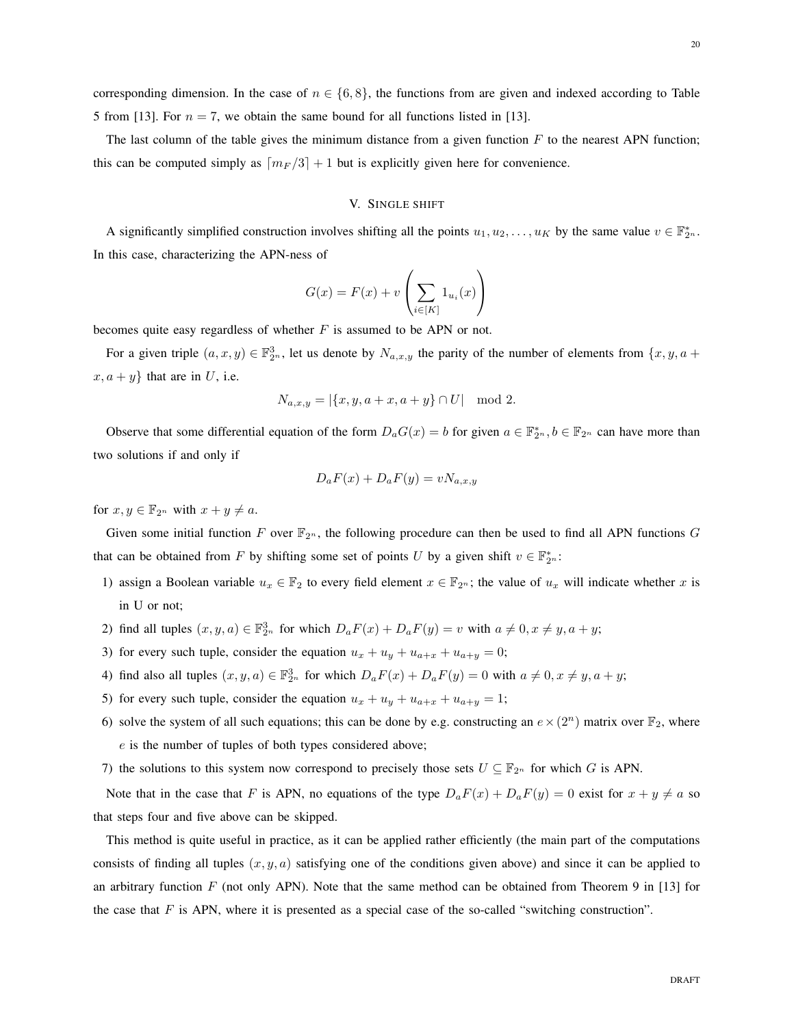corresponding dimension. In the case of  $n \in \{6, 8\}$ , the functions from are given and indexed according to Table 5 from [13]. For  $n = 7$ , we obtain the same bound for all functions listed in [13].

The last column of the table gives the minimum distance from a given function  $F$  to the nearest APN function; this can be computed simply as  $\lceil m_F / 3 \rceil + 1$  but is explicitly given here for convenience.

# V. SINGLE SHIFT

A significantly simplified construction involves shifting all the points  $u_1, u_2, \ldots, u_K$  by the same value  $v \in \mathbb{F}_{2^n}^*$ . In this case, characterizing the APN-ness of

$$
G(x) = F(x) + v\left(\sum_{i \in [K]} 1_{u_i}(x)\right)
$$

becomes quite easy regardless of whether  $F$  is assumed to be APN or not.

For a given triple  $(a, x, y) \in \mathbb{F}_{2^n}^3$ , let us denote by  $N_{a,x,y}$  the parity of the number of elements from  $\{x, y, a +$  $x, a + y$  that are in U, i.e.

$$
N_{a,x,y} = |\{x, y, a+x, a+y\} \cap U| \mod 2.
$$

Observe that some differential equation of the form  $D_aG(x) = b$  for given  $a \in \mathbb{F}_{2^n}^*$ ,  $b \in \mathbb{F}_{2^n}$  can have more than two solutions if and only if

$$
D_a F(x) + D_a F(y) = v N_{a,x,y}
$$

for  $x, y \in \mathbb{F}_{2^n}$  with  $x + y \neq a$ .

Given some initial function F over  $\mathbb{F}_{2^n}$ , the following procedure can then be used to find all APN functions G that can be obtained from F by shifting some set of points U by a given shift  $v \in \mathbb{F}_{2^n}^*$ :

- 1) assign a Boolean variable  $u_x \in \mathbb{F}_2$  to every field element  $x \in \mathbb{F}_{2^n}$ ; the value of  $u_x$  will indicate whether x is in U or not;
- 2) find all tuples  $(x, y, a) \in \mathbb{F}_{2^n}^3$  for which  $D_a F(x) + D_a F(y) = v$  with  $a \neq 0, x \neq y, a + y$ ;
- 3) for every such tuple, consider the equation  $u_x + u_y + u_{a+x} + u_{a+y} = 0$ ;
- 4) find also all tuples  $(x, y, a) \in \mathbb{F}_{2^n}^3$  for which  $D_a F(x) + D_a F(y) = 0$  with  $a \neq 0, x \neq y, a + y$ ;
- 5) for every such tuple, consider the equation  $u_x + u_y + u_{a+x} + u_{a+y} = 1$ ;
- 6) solve the system of all such equations; this can be done by e.g. constructing an  $e \times (2^n)$  matrix over  $\mathbb{F}_2$ , where e is the number of tuples of both types considered above;
- 7) the solutions to this system now correspond to precisely those sets  $U \subseteq \mathbb{F}_{2^n}$  for which G is APN.

Note that in the case that F is APN, no equations of the type  $D_aF(x) + D_aF(y) = 0$  exist for  $x + y \neq a$  so that steps four and five above can be skipped.

This method is quite useful in practice, as it can be applied rather efficiently (the main part of the computations consists of finding all tuples  $(x, y, a)$  satisfying one of the conditions given above) and since it can be applied to an arbitrary function  $F$  (not only APN). Note that the same method can be obtained from Theorem 9 in [13] for the case that  $F$  is APN, where it is presented as a special case of the so-called "switching construction".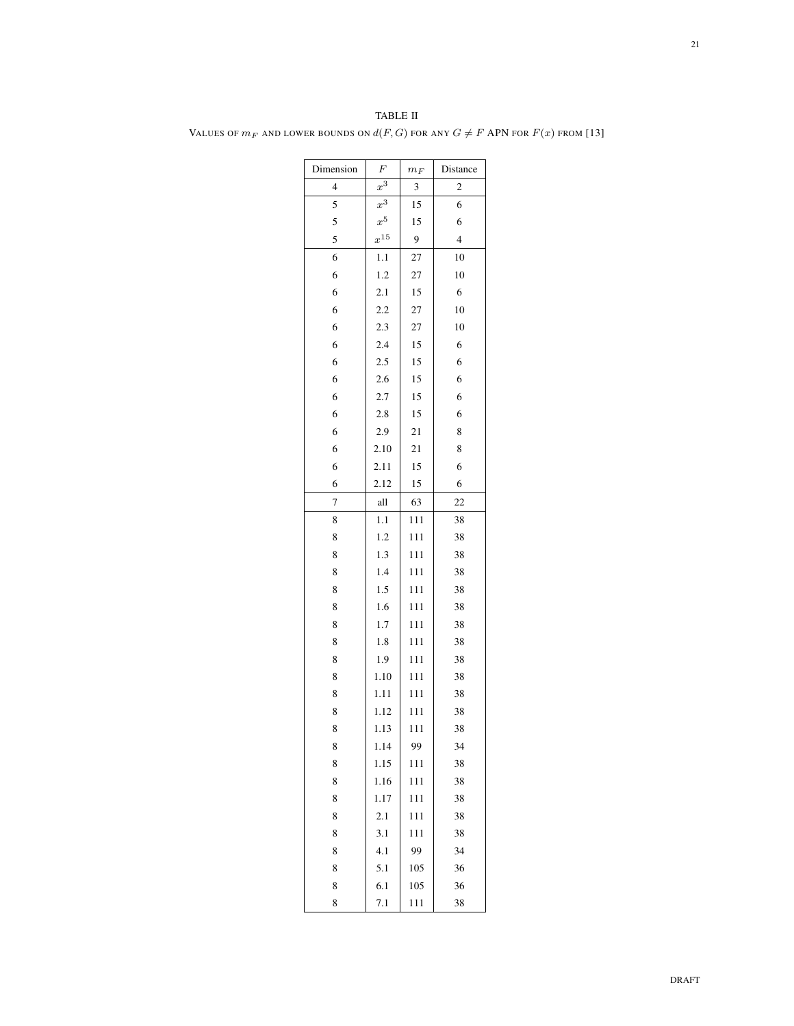| Dimension | $\boldsymbol{F}$ | $m_F$ | Distance                |
|-----------|------------------|-------|-------------------------|
| 4         | $x^3$            | 3     | $\overline{\mathbf{c}}$ |
| 5         | $x^3$            | 15    | 6                       |
| 5         | $x^5$            | 15    | 6                       |
| 5         | $x^{15}$         | 9     | $\overline{4}$          |
| 6         | 1.1              | 27    | 10                      |
| 6         | 1.2              | 27    | 10                      |
| 6         | 2.1              | 15    | $\sqrt{6}$              |
| 6         | 2.2              | 27    | 10                      |
| 6         | 2.3              | 27    | 10                      |
| 6         | 2.4              | 15    | 6                       |
| 6         | 2.5              | 15    | 6                       |
| 6         | 2.6              | 15    | 6                       |
| 6         | 2.7              | 15    | 6                       |
| 6         | 2.8              | 15    | 6                       |
| 6         | 2.9              | 21    | 8                       |
| 6         | 2.10             | 21    | 8                       |
| 6         | 2.11             | 15    | 6                       |
| 6         | 2.12             | 15    | 6                       |
| 7         | all              | 63    | 22                      |
| 8         | 1.1              | 111   | 38                      |
| 8         | 1.2              | 111   | 38                      |
| 8         | 1.3              | 111   | 38                      |
| 8         | 1.4              | 111   | 38                      |
| 8         | 1.5              | 111   | 38                      |
| 8         | 1.6              | 111   | 38                      |
| 8         | 1.7              | 111   | 38                      |
| 8         | 1.8              | 111   | 38                      |
| 8         | 1.9              | 111   | 38                      |
| 8         | 1.10             | 111   | 38                      |
| 8         | 1.11             | 111   | 38                      |
| 8         | 1.12             | 111   | 38                      |
| 8         | 1.13             | 111   | 38                      |
| 8         | 1.14             | 99    | 34                      |
| 8         | 1.15             | 111   | 38                      |
| 8         | 1.16             | 111   | 38                      |
| 8         | 1.17             | 111   | 38                      |
| 8         | 2.1              | 111   | 38                      |
| 8         | 3.1              | 111   | 38                      |
| 8         | 4.1              | 99    | 34                      |
| 8         | 5.1              | 105   | 36                      |
| 8         | 6.1              | 105   | 36                      |
| 8         | 7.1              | 111   | 38                      |

TABLE II VALUES OF  $m_F$  and lower bounds on  $d(F,G)$  for any  $G\neq F$  APN for  $F(x)$  from  $[13]$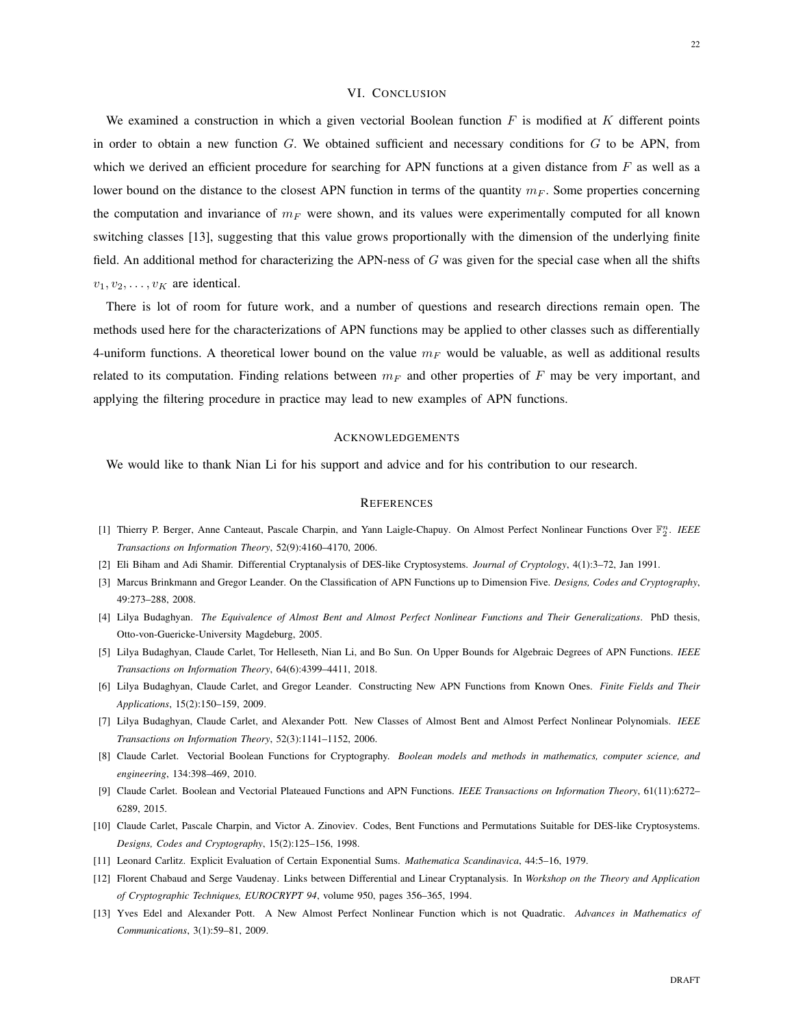# VI. CONCLUSION

We examined a construction in which a given vectorial Boolean function  $F$  is modified at  $K$  different points in order to obtain a new function  $G$ . We obtained sufficient and necessary conditions for  $G$  to be APN, from which we derived an efficient procedure for searching for APN functions at a given distance from  $F$  as well as a lower bound on the distance to the closest APN function in terms of the quantity  $m_F$ . Some properties concerning the computation and invariance of  $m_F$  were shown, and its values were experimentally computed for all known switching classes [13], suggesting that this value grows proportionally with the dimension of the underlying finite field. An additional method for characterizing the APN-ness of  $G$  was given for the special case when all the shifts  $v_1, v_2, \ldots, v_K$  are identical.

There is lot of room for future work, and a number of questions and research directions remain open. The methods used here for the characterizations of APN functions may be applied to other classes such as differentially 4-uniform functions. A theoretical lower bound on the value  $m_F$  would be valuable, as well as additional results related to its computation. Finding relations between  $m_F$  and other properties of F may be very important, and applying the filtering procedure in practice may lead to new examples of APN functions.

# ACKNOWLEDGEMENTS

We would like to thank Nian Li for his support and advice and for his contribution to our research.

#### **REFERENCES**

- [1] Thierry P. Berger, Anne Canteaut, Pascale Charpin, and Yann Laigle-Chapuy. On Almost Perfect Nonlinear Functions Over  $\mathbb{F}_2^n$ . *IEEE Transactions on Information Theory*, 52(9):4160–4170, 2006.
- [2] Eli Biham and Adi Shamir. Differential Cryptanalysis of DES-like Cryptosystems. *Journal of Cryptology*, 4(1):3–72, Jan 1991.
- [3] Marcus Brinkmann and Gregor Leander. On the Classification of APN Functions up to Dimension Five. *Designs, Codes and Cryptography*, 49:273–288, 2008.
- [4] Lilya Budaghyan. *The Equivalence of Almost Bent and Almost Perfect Nonlinear Functions and Their Generalizations*. PhD thesis, Otto-von-Guericke-University Magdeburg, 2005.
- [5] Lilya Budaghyan, Claude Carlet, Tor Helleseth, Nian Li, and Bo Sun. On Upper Bounds for Algebraic Degrees of APN Functions. *IEEE Transactions on Information Theory*, 64(6):4399–4411, 2018.
- [6] Lilya Budaghyan, Claude Carlet, and Gregor Leander. Constructing New APN Functions from Known Ones. *Finite Fields and Their Applications*, 15(2):150–159, 2009.
- [7] Lilya Budaghyan, Claude Carlet, and Alexander Pott. New Classes of Almost Bent and Almost Perfect Nonlinear Polynomials. *IEEE Transactions on Information Theory*, 52(3):1141–1152, 2006.
- [8] Claude Carlet. Vectorial Boolean Functions for Cryptography. *Boolean models and methods in mathematics, computer science, and engineering*, 134:398–469, 2010.
- [9] Claude Carlet. Boolean and Vectorial Plateaued Functions and APN Functions. *IEEE Transactions on Information Theory*, 61(11):6272– 6289, 2015.
- [10] Claude Carlet, Pascale Charpin, and Victor A. Zinoviev. Codes, Bent Functions and Permutations Suitable for DES-like Cryptosystems. *Designs, Codes and Cryptography*, 15(2):125–156, 1998.
- [11] Leonard Carlitz. Explicit Evaluation of Certain Exponential Sums. *Mathematica Scandinavica*, 44:5–16, 1979.
- [12] Florent Chabaud and Serge Vaudenay. Links between Differential and Linear Cryptanalysis. In *Workshop on the Theory and Application of Cryptographic Techniques, EUROCRYPT 94*, volume 950, pages 356–365, 1994.
- [13] Yves Edel and Alexander Pott. A New Almost Perfect Nonlinear Function which is not Quadratic. *Advances in Mathematics of Communications*, 3(1):59–81, 2009.